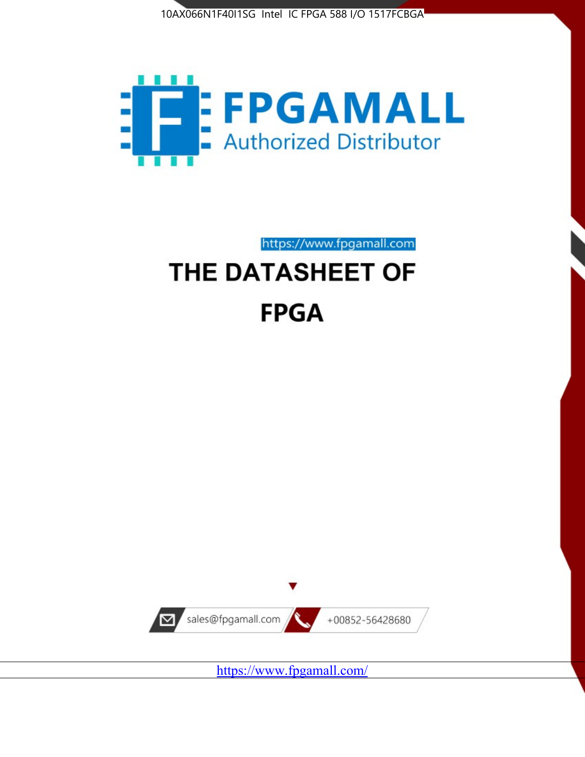



https://www.fpgamall.com THE DATASHEET OF

# **FPGA**



<https://www.fpgamall.com/>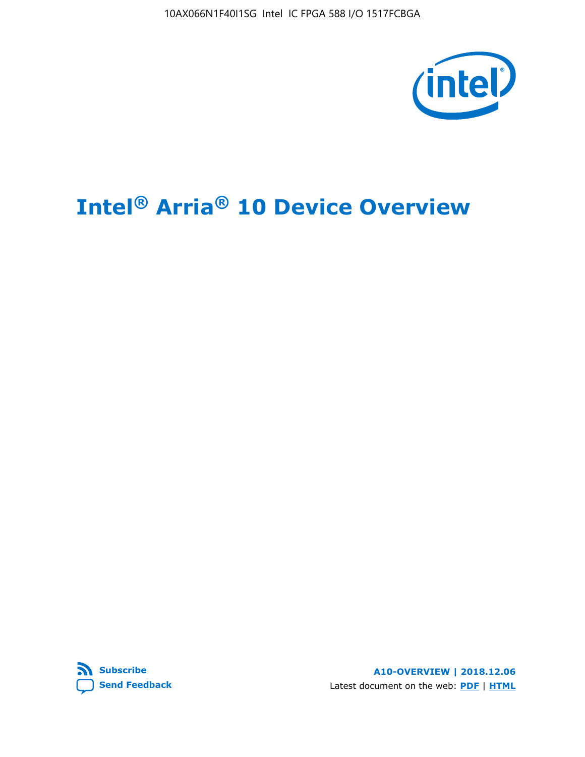10AX066N1F40I1SG Intel IC FPGA 588 I/O 1517FCBGA



## **Intel® Arria® 10 Device Overview**



**A10-OVERVIEW | 2018.12.06** Latest document on the web: **[PDF](https://www.intel.com/content/dam/www/programmable/us/en/pdfs/literature/hb/arria-10/a10_overview.pdf)** | **[HTML](https://www.intel.com/content/www/us/en/programmable/documentation/sam1403480274650.html)**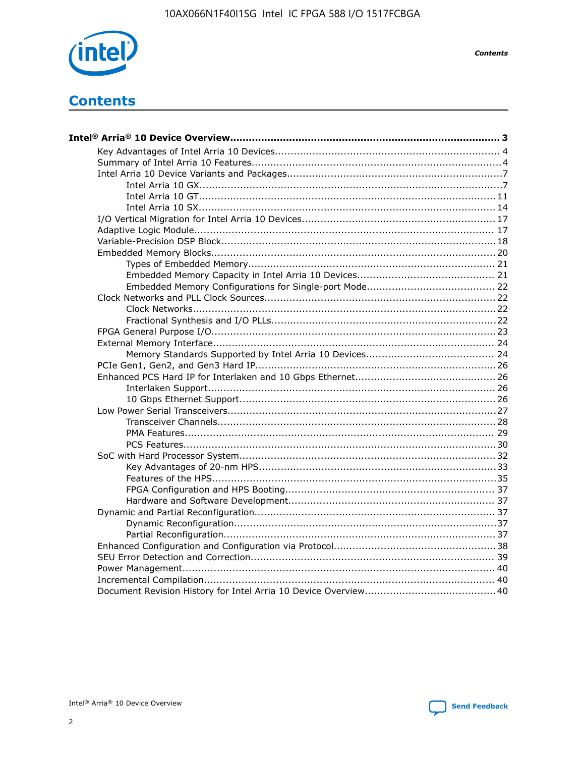

**Contents** 

## **Contents**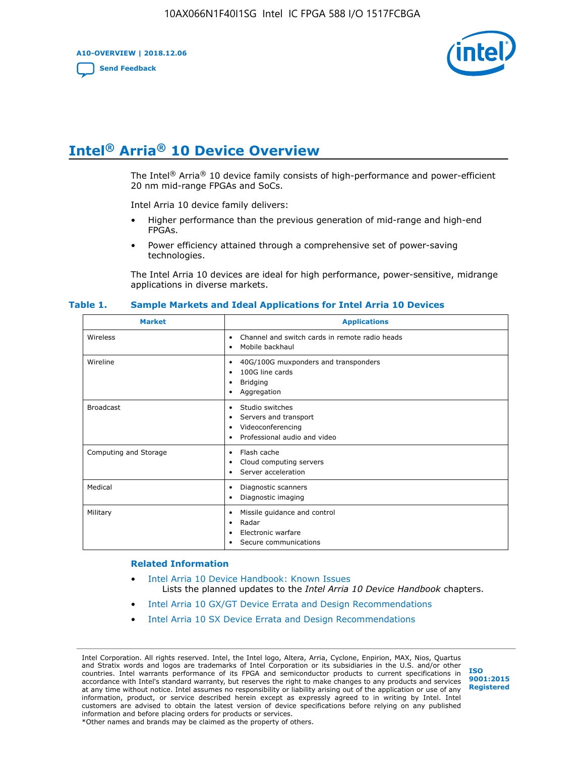**A10-OVERVIEW | 2018.12.06**

**[Send Feedback](mailto:FPGAtechdocfeedback@intel.com?subject=Feedback%20on%20Intel%20Arria%2010%20Device%20Overview%20(A10-OVERVIEW%202018.12.06)&body=We%20appreciate%20your%20feedback.%20In%20your%20comments,%20also%20specify%20the%20page%20number%20or%20paragraph.%20Thank%20you.)**



## **Intel® Arria® 10 Device Overview**

The Intel<sup>®</sup> Arria<sup>®</sup> 10 device family consists of high-performance and power-efficient 20 nm mid-range FPGAs and SoCs.

Intel Arria 10 device family delivers:

- Higher performance than the previous generation of mid-range and high-end FPGAs.
- Power efficiency attained through a comprehensive set of power-saving technologies.

The Intel Arria 10 devices are ideal for high performance, power-sensitive, midrange applications in diverse markets.

| <b>Market</b>         | <b>Applications</b>                                                                                               |
|-----------------------|-------------------------------------------------------------------------------------------------------------------|
| Wireless              | Channel and switch cards in remote radio heads<br>٠<br>Mobile backhaul<br>٠                                       |
| Wireline              | 40G/100G muxponders and transponders<br>٠<br>100G line cards<br>٠<br><b>Bridging</b><br>٠<br>Aggregation<br>٠     |
| <b>Broadcast</b>      | Studio switches<br>٠<br>Servers and transport<br>٠<br>Videoconferencing<br>٠<br>Professional audio and video<br>٠ |
| Computing and Storage | Flash cache<br>٠<br>Cloud computing servers<br>٠<br>Server acceleration<br>٠                                      |
| Medical               | Diagnostic scanners<br>٠<br>Diagnostic imaging<br>٠                                                               |
| Military              | Missile guidance and control<br>٠<br>Radar<br>٠<br>Electronic warfare<br>٠<br>Secure communications<br>٠          |

#### **Table 1. Sample Markets and Ideal Applications for Intel Arria 10 Devices**

#### **Related Information**

- [Intel Arria 10 Device Handbook: Known Issues](http://www.altera.com/support/kdb/solutions/rd07302013_646.html) Lists the planned updates to the *Intel Arria 10 Device Handbook* chapters.
- [Intel Arria 10 GX/GT Device Errata and Design Recommendations](https://www.intel.com/content/www/us/en/programmable/documentation/agz1493851706374.html#yqz1494433888646)
- [Intel Arria 10 SX Device Errata and Design Recommendations](https://www.intel.com/content/www/us/en/programmable/documentation/cru1462832385668.html#cru1462832558642)

Intel Corporation. All rights reserved. Intel, the Intel logo, Altera, Arria, Cyclone, Enpirion, MAX, Nios, Quartus and Stratix words and logos are trademarks of Intel Corporation or its subsidiaries in the U.S. and/or other countries. Intel warrants performance of its FPGA and semiconductor products to current specifications in accordance with Intel's standard warranty, but reserves the right to make changes to any products and services at any time without notice. Intel assumes no responsibility or liability arising out of the application or use of any information, product, or service described herein except as expressly agreed to in writing by Intel. Intel customers are advised to obtain the latest version of device specifications before relying on any published information and before placing orders for products or services. \*Other names and brands may be claimed as the property of others.

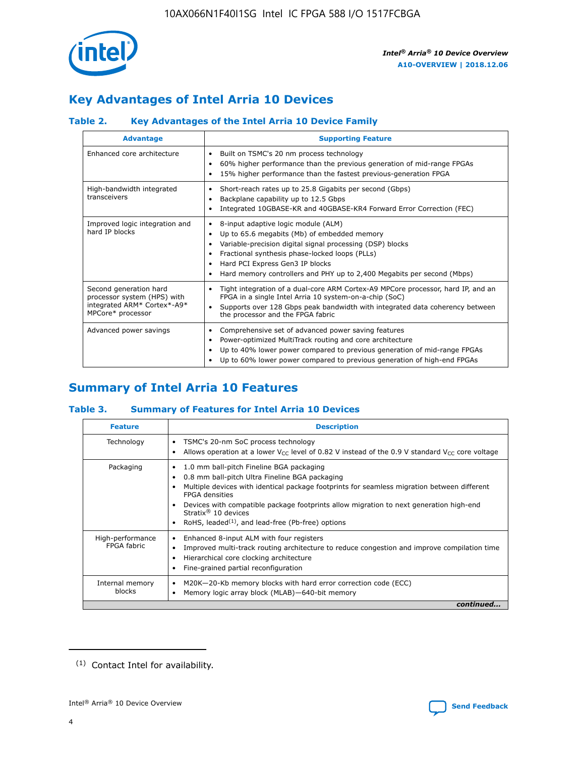

## **Key Advantages of Intel Arria 10 Devices**

#### **Table 2. Key Advantages of the Intel Arria 10 Device Family**

| <b>Advantage</b>                                                                                          | <b>Supporting Feature</b>                                                                                                                                                                                                                                                                                                |
|-----------------------------------------------------------------------------------------------------------|--------------------------------------------------------------------------------------------------------------------------------------------------------------------------------------------------------------------------------------------------------------------------------------------------------------------------|
| Enhanced core architecture                                                                                | Built on TSMC's 20 nm process technology<br>٠<br>60% higher performance than the previous generation of mid-range FPGAs<br>٠<br>15% higher performance than the fastest previous-generation FPGA<br>٠                                                                                                                    |
| High-bandwidth integrated<br>transceivers                                                                 | Short-reach rates up to 25.8 Gigabits per second (Gbps)<br>٠<br>Backplane capability up to 12.5 Gbps<br>٠<br>Integrated 10GBASE-KR and 40GBASE-KR4 Forward Error Correction (FEC)<br>٠                                                                                                                                   |
| Improved logic integration and<br>hard IP blocks                                                          | 8-input adaptive logic module (ALM)<br>٠<br>Up to 65.6 megabits (Mb) of embedded memory<br>٠<br>Variable-precision digital signal processing (DSP) blocks<br>Fractional synthesis phase-locked loops (PLLs)<br>Hard PCI Express Gen3 IP blocks<br>Hard memory controllers and PHY up to 2,400 Megabits per second (Mbps) |
| Second generation hard<br>processor system (HPS) with<br>integrated ARM* Cortex*-A9*<br>MPCore* processor | Tight integration of a dual-core ARM Cortex-A9 MPCore processor, hard IP, and an<br>٠<br>FPGA in a single Intel Arria 10 system-on-a-chip (SoC)<br>Supports over 128 Gbps peak bandwidth with integrated data coherency between<br>$\bullet$<br>the processor and the FPGA fabric                                        |
| Advanced power savings                                                                                    | Comprehensive set of advanced power saving features<br>٠<br>Power-optimized MultiTrack routing and core architecture<br>٠<br>Up to 40% lower power compared to previous generation of mid-range FPGAs<br>Up to 60% lower power compared to previous generation of high-end FPGAs                                         |

## **Summary of Intel Arria 10 Features**

#### **Table 3. Summary of Features for Intel Arria 10 Devices**

| <b>Feature</b>                  | <b>Description</b>                                                                                                                                                                                                                                                                                                                                                                                           |
|---------------------------------|--------------------------------------------------------------------------------------------------------------------------------------------------------------------------------------------------------------------------------------------------------------------------------------------------------------------------------------------------------------------------------------------------------------|
| Technology                      | TSMC's 20-nm SoC process technology<br>Allows operation at a lower $V_{\text{CC}}$ level of 0.82 V instead of the 0.9 V standard $V_{\text{CC}}$ core voltage                                                                                                                                                                                                                                                |
| Packaging                       | 1.0 mm ball-pitch Fineline BGA packaging<br>٠<br>0.8 mm ball-pitch Ultra Fineline BGA packaging<br>Multiple devices with identical package footprints for seamless migration between different<br><b>FPGA</b> densities<br>Devices with compatible package footprints allow migration to next generation high-end<br>Stratix <sup>®</sup> 10 devices<br>RoHS, leaded $(1)$ , and lead-free (Pb-free) options |
| High-performance<br>FPGA fabric | Enhanced 8-input ALM with four registers<br>Improved multi-track routing architecture to reduce congestion and improve compilation time<br>Hierarchical core clocking architecture<br>Fine-grained partial reconfiguration                                                                                                                                                                                   |
| Internal memory<br>blocks       | M20K-20-Kb memory blocks with hard error correction code (ECC)<br>Memory logic array block (MLAB)-640-bit memory                                                                                                                                                                                                                                                                                             |
|                                 | continued                                                                                                                                                                                                                                                                                                                                                                                                    |



<sup>(1)</sup> Contact Intel for availability.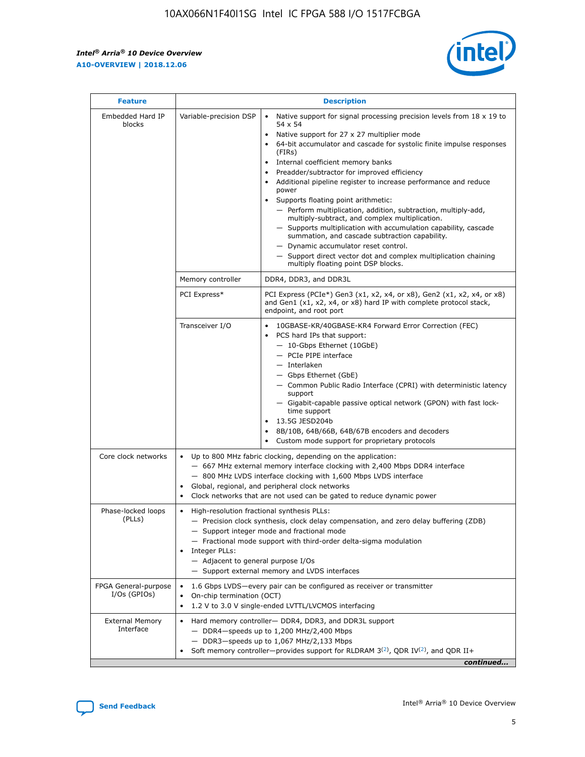r



| <b>Feature</b>                         | <b>Description</b>                                                                                             |                                                                                                                                                                                                                                                                                                                                                                                                                                                                                                                                                                                                                                                                                                                                                                                                                                        |  |  |  |  |  |
|----------------------------------------|----------------------------------------------------------------------------------------------------------------|----------------------------------------------------------------------------------------------------------------------------------------------------------------------------------------------------------------------------------------------------------------------------------------------------------------------------------------------------------------------------------------------------------------------------------------------------------------------------------------------------------------------------------------------------------------------------------------------------------------------------------------------------------------------------------------------------------------------------------------------------------------------------------------------------------------------------------------|--|--|--|--|--|
| Embedded Hard IP<br>blocks             | Variable-precision DSP                                                                                         | Native support for signal processing precision levels from $18 \times 19$ to<br>54 x 54<br>Native support for 27 x 27 multiplier mode<br>64-bit accumulator and cascade for systolic finite impulse responses<br>(FIRs)<br>Internal coefficient memory banks<br>$\bullet$<br>Preadder/subtractor for improved efficiency<br>Additional pipeline register to increase performance and reduce<br>power<br>Supports floating point arithmetic:<br>- Perform multiplication, addition, subtraction, multiply-add,<br>multiply-subtract, and complex multiplication.<br>- Supports multiplication with accumulation capability, cascade<br>summation, and cascade subtraction capability.<br>- Dynamic accumulator reset control.<br>- Support direct vector dot and complex multiplication chaining<br>multiply floating point DSP blocks. |  |  |  |  |  |
|                                        | Memory controller                                                                                              | DDR4, DDR3, and DDR3L                                                                                                                                                                                                                                                                                                                                                                                                                                                                                                                                                                                                                                                                                                                                                                                                                  |  |  |  |  |  |
|                                        | PCI Express*                                                                                                   | PCI Express (PCIe*) Gen3 (x1, x2, x4, or x8), Gen2 (x1, x2, x4, or x8)<br>and Gen1 (x1, x2, x4, or x8) hard IP with complete protocol stack,<br>endpoint, and root port                                                                                                                                                                                                                                                                                                                                                                                                                                                                                                                                                                                                                                                                |  |  |  |  |  |
|                                        | Transceiver I/O                                                                                                | 10GBASE-KR/40GBASE-KR4 Forward Error Correction (FEC)<br>PCS hard IPs that support:<br>$\bullet$<br>- 10-Gbps Ethernet (10GbE)<br>- PCIe PIPE interface<br>$-$ Interlaken<br>- Gbps Ethernet (GbE)<br>- Common Public Radio Interface (CPRI) with deterministic latency<br>support<br>- Gigabit-capable passive optical network (GPON) with fast lock-<br>time support<br>13.5G JESD204b<br>$\bullet$<br>8B/10B, 64B/66B, 64B/67B encoders and decoders<br>Custom mode support for proprietary protocols                                                                                                                                                                                                                                                                                                                               |  |  |  |  |  |
| Core clock networks                    | $\bullet$<br>$\bullet$                                                                                         | Up to 800 MHz fabric clocking, depending on the application:<br>- 667 MHz external memory interface clocking with 2,400 Mbps DDR4 interface<br>- 800 MHz LVDS interface clocking with 1,600 Mbps LVDS interface<br>Global, regional, and peripheral clock networks<br>Clock networks that are not used can be gated to reduce dynamic power                                                                                                                                                                                                                                                                                                                                                                                                                                                                                            |  |  |  |  |  |
| Phase-locked loops<br>(PLLs)           | High-resolution fractional synthesis PLLs:<br>$\bullet$<br>Integer PLLs:<br>- Adjacent to general purpose I/Os | - Precision clock synthesis, clock delay compensation, and zero delay buffering (ZDB)<br>- Support integer mode and fractional mode<br>- Fractional mode support with third-order delta-sigma modulation<br>- Support external memory and LVDS interfaces                                                                                                                                                                                                                                                                                                                                                                                                                                                                                                                                                                              |  |  |  |  |  |
| FPGA General-purpose<br>$I/Os$ (GPIOs) | On-chip termination (OCT)                                                                                      | 1.6 Gbps LVDS-every pair can be configured as receiver or transmitter<br>1.2 V to 3.0 V single-ended LVTTL/LVCMOS interfacing                                                                                                                                                                                                                                                                                                                                                                                                                                                                                                                                                                                                                                                                                                          |  |  |  |  |  |
| <b>External Memory</b><br>Interface    |                                                                                                                | Hard memory controller- DDR4, DDR3, and DDR3L support<br>$-$ DDR4 $-$ speeds up to 1,200 MHz/2,400 Mbps<br>- DDR3-speeds up to 1,067 MHz/2,133 Mbps<br>Soft memory controller—provides support for RLDRAM $3^{(2)}$ , QDR IV $^{(2)}$ , and QDR II+<br>continued                                                                                                                                                                                                                                                                                                                                                                                                                                                                                                                                                                       |  |  |  |  |  |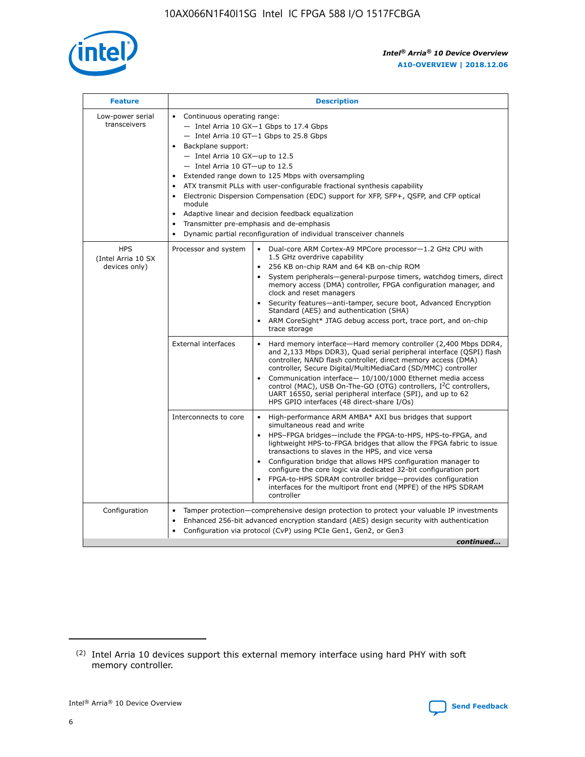

| <b>Feature</b>                                    | <b>Description</b>                                                                                                                                                                                                                                                                                                                                                                                                                                                                                                                                                                                                                                      |
|---------------------------------------------------|---------------------------------------------------------------------------------------------------------------------------------------------------------------------------------------------------------------------------------------------------------------------------------------------------------------------------------------------------------------------------------------------------------------------------------------------------------------------------------------------------------------------------------------------------------------------------------------------------------------------------------------------------------|
| Low-power serial<br>transceivers                  | • Continuous operating range:<br>- Intel Arria 10 GX-1 Gbps to 17.4 Gbps<br>- Intel Arria 10 GT-1 Gbps to 25.8 Gbps<br>Backplane support:<br>$-$ Intel Arria 10 GX-up to 12.5<br>- Intel Arria 10 GT-up to 12.5<br>Extended range down to 125 Mbps with oversampling<br>ATX transmit PLLs with user-configurable fractional synthesis capability<br>• Electronic Dispersion Compensation (EDC) support for XFP, SFP+, QSFP, and CFP optical<br>module<br>Adaptive linear and decision feedback equalization<br>$\bullet$<br>Transmitter pre-emphasis and de-emphasis<br>$\bullet$<br>Dynamic partial reconfiguration of individual transceiver channels |
| <b>HPS</b><br>(Intel Arria 10 SX<br>devices only) | Processor and system<br>Dual-core ARM Cortex-A9 MPCore processor-1.2 GHz CPU with<br>$\bullet$<br>1.5 GHz overdrive capability<br>• 256 KB on-chip RAM and 64 KB on-chip ROM<br>System peripherals-general-purpose timers, watchdog timers, direct<br>memory access (DMA) controller, FPGA configuration manager, and<br>clock and reset managers<br>• Security features—anti-tamper, secure boot, Advanced Encryption<br>Standard (AES) and authentication (SHA)<br>ARM CoreSight* JTAG debug access port, trace port, and on-chip<br>trace storage                                                                                                    |
|                                                   | <b>External interfaces</b><br>Hard memory interface—Hard memory controller (2,400 Mbps DDR4,<br>$\bullet$<br>and 2,133 Mbps DDR3), Quad serial peripheral interface (QSPI) flash<br>controller, NAND flash controller, direct memory access (DMA)<br>controller, Secure Digital/MultiMediaCard (SD/MMC) controller<br>Communication interface-10/100/1000 Ethernet media access<br>control (MAC), USB On-The-GO (OTG) controllers, I <sup>2</sup> C controllers,<br>UART 16550, serial peripheral interface (SPI), and up to 62<br>HPS GPIO interfaces (48 direct-share I/Os)                                                                           |
|                                                   | High-performance ARM AMBA* AXI bus bridges that support<br>Interconnects to core<br>$\bullet$<br>simultaneous read and write<br>HPS-FPGA bridges—include the FPGA-to-HPS, HPS-to-FPGA, and<br>lightweight HPS-to-FPGA bridges that allow the FPGA fabric to issue<br>transactions to slaves in the HPS, and vice versa<br>Configuration bridge that allows HPS configuration manager to<br>configure the core logic via dedicated 32-bit configuration port<br>FPGA-to-HPS SDRAM controller bridge-provides configuration<br>interfaces for the multiport front end (MPFE) of the HPS SDRAM<br>controller                                               |
| Configuration                                     | Tamper protection—comprehensive design protection to protect your valuable IP investments<br>Enhanced 256-bit advanced encryption standard (AES) design security with authentication<br>٠<br>Configuration via protocol (CvP) using PCIe Gen1, Gen2, or Gen3<br>continued                                                                                                                                                                                                                                                                                                                                                                               |

<sup>(2)</sup> Intel Arria 10 devices support this external memory interface using hard PHY with soft memory controller.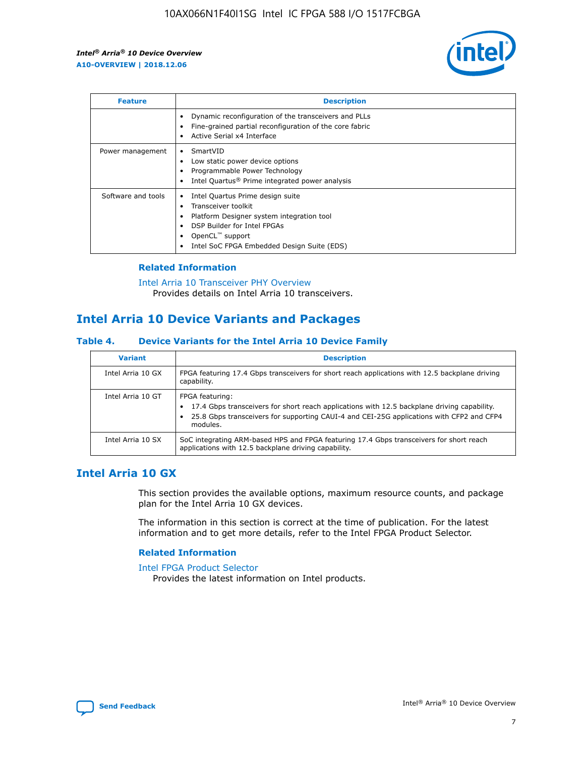

| <b>Feature</b>     | <b>Description</b>                                                                                                                                                                                                    |
|--------------------|-----------------------------------------------------------------------------------------------------------------------------------------------------------------------------------------------------------------------|
|                    | Dynamic reconfiguration of the transceivers and PLLs<br>Fine-grained partial reconfiguration of the core fabric<br>Active Serial x4 Interface                                                                         |
| Power management   | SmartVID<br>Low static power device options<br>Programmable Power Technology<br>Intel Quartus <sup>®</sup> Prime integrated power analysis                                                                            |
| Software and tools | Intel Quartus Prime design suite<br>Transceiver toolkit<br>٠<br>Platform Designer system integration tool<br>DSP Builder for Intel FPGAs<br>OpenCL <sup>™</sup> support<br>Intel SoC FPGA Embedded Design Suite (EDS) |

#### **Related Information**

[Intel Arria 10 Transceiver PHY Overview](https://www.intel.com/content/www/us/en/programmable/documentation/nik1398707230472.html#nik1398706768037) Provides details on Intel Arria 10 transceivers.

## **Intel Arria 10 Device Variants and Packages**

#### **Table 4. Device Variants for the Intel Arria 10 Device Family**

| <b>Variant</b>    | <b>Description</b>                                                                                                                                                                                                     |
|-------------------|------------------------------------------------------------------------------------------------------------------------------------------------------------------------------------------------------------------------|
| Intel Arria 10 GX | FPGA featuring 17.4 Gbps transceivers for short reach applications with 12.5 backplane driving<br>capability.                                                                                                          |
| Intel Arria 10 GT | FPGA featuring:<br>17.4 Gbps transceivers for short reach applications with 12.5 backplane driving capability.<br>25.8 Gbps transceivers for supporting CAUI-4 and CEI-25G applications with CFP2 and CFP4<br>modules. |
| Intel Arria 10 SX | SoC integrating ARM-based HPS and FPGA featuring 17.4 Gbps transceivers for short reach<br>applications with 12.5 backplane driving capability.                                                                        |

### **Intel Arria 10 GX**

This section provides the available options, maximum resource counts, and package plan for the Intel Arria 10 GX devices.

The information in this section is correct at the time of publication. For the latest information and to get more details, refer to the Intel FPGA Product Selector.

#### **Related Information**

#### [Intel FPGA Product Selector](http://www.altera.com/products/selector/psg-selector.html) Provides the latest information on Intel products.

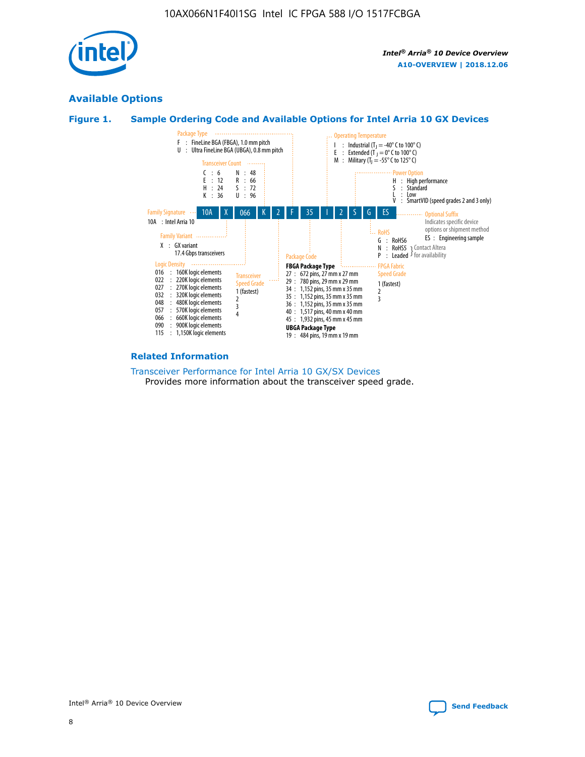

#### **Available Options**





#### **Related Information**

[Transceiver Performance for Intel Arria 10 GX/SX Devices](https://www.intel.com/content/www/us/en/programmable/documentation/mcn1413182292568.html#mcn1413213965502) Provides more information about the transceiver speed grade.

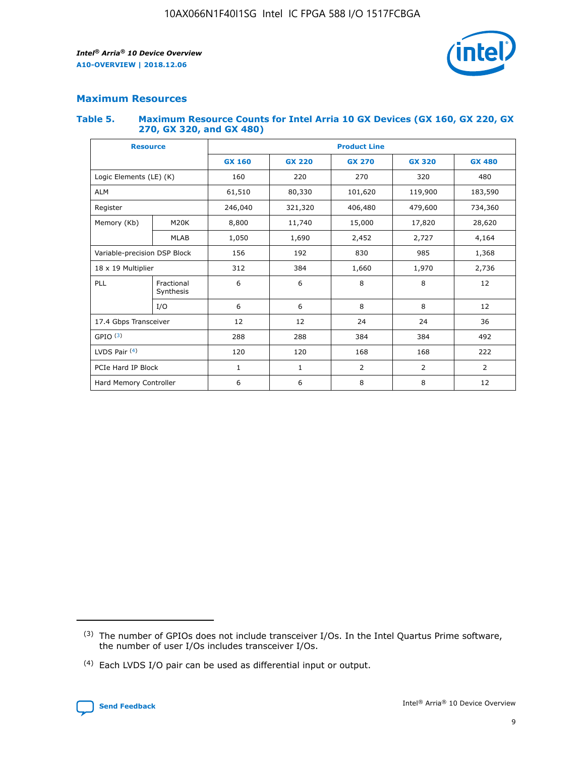

#### **Maximum Resources**

#### **Table 5. Maximum Resource Counts for Intel Arria 10 GX Devices (GX 160, GX 220, GX 270, GX 320, and GX 480)**

| <b>Resource</b>              |                          | <b>Product Line</b> |                                |                |                |                |  |  |  |
|------------------------------|--------------------------|---------------------|--------------------------------|----------------|----------------|----------------|--|--|--|
|                              |                          | <b>GX 160</b>       | <b>GX 220</b><br><b>GX 270</b> |                | <b>GX 320</b>  | <b>GX 480</b>  |  |  |  |
| Logic Elements (LE) (K)      |                          | 160                 | 220                            | 270            | 320            | 480            |  |  |  |
| <b>ALM</b>                   |                          | 61,510              | 80,330                         | 101,620        | 119,900        | 183,590        |  |  |  |
| Register                     |                          | 246,040             | 321,320                        | 406,480        | 479,600        | 734,360        |  |  |  |
| Memory (Kb)                  | M <sub>20</sub> K        | 8,800               | 11,740                         | 15,000         | 17,820         | 28,620         |  |  |  |
| <b>MLAB</b>                  |                          | 1,050               | 1,690                          | 2,452          | 2,727          | 4,164          |  |  |  |
| Variable-precision DSP Block | 192<br>830<br>985<br>156 |                     |                                |                | 1,368          |                |  |  |  |
| 18 x 19 Multiplier           |                          | 312                 | 384                            | 1,660          | 1,970          | 2,736          |  |  |  |
| PLL                          | Fractional<br>Synthesis  | 6                   | 6                              | 8              | 8              | 12             |  |  |  |
|                              | I/O                      | 6                   | 6                              | 8              | 8              | 12             |  |  |  |
| 17.4 Gbps Transceiver        |                          | 12                  | 12                             | 24             | 24             |                |  |  |  |
| GPIO <sup>(3)</sup>          |                          | 288                 | 288                            | 384<br>384     |                | 492            |  |  |  |
| LVDS Pair $(4)$              |                          | 120                 | 120                            | 168            | 168            | 222            |  |  |  |
| PCIe Hard IP Block           |                          | $\mathbf{1}$        | 1                              | $\overline{2}$ | $\overline{2}$ | $\overline{2}$ |  |  |  |
| Hard Memory Controller       |                          | 6                   | 6                              | 8              | 8              | 12             |  |  |  |

<sup>(4)</sup> Each LVDS I/O pair can be used as differential input or output.



<sup>(3)</sup> The number of GPIOs does not include transceiver I/Os. In the Intel Quartus Prime software, the number of user I/Os includes transceiver I/Os.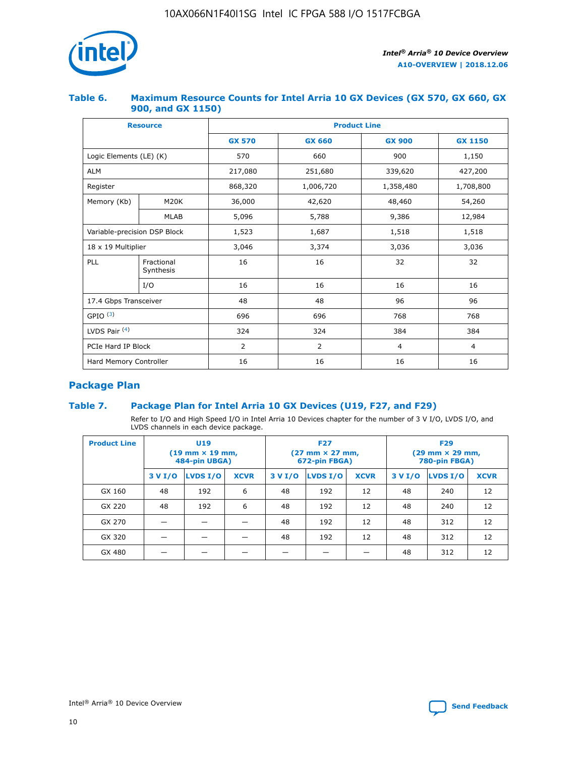

#### **Table 6. Maximum Resource Counts for Intel Arria 10 GX Devices (GX 570, GX 660, GX 900, and GX 1150)**

|                              | <b>Resource</b>         | <b>Product Line</b> |                |                |                |  |  |  |
|------------------------------|-------------------------|---------------------|----------------|----------------|----------------|--|--|--|
|                              |                         | <b>GX 570</b>       | <b>GX 660</b>  |                | <b>GX 1150</b> |  |  |  |
| Logic Elements (LE) (K)      |                         | 570                 | 660            | 900            | 1,150          |  |  |  |
| <b>ALM</b>                   |                         | 217,080             | 251,680        | 339,620        | 427,200        |  |  |  |
| Register                     |                         | 868,320             | 1,006,720      | 1,358,480      | 1,708,800      |  |  |  |
| Memory (Kb)                  | <b>M20K</b>             | 36,000              | 42,620         | 48,460         | 54,260         |  |  |  |
|                              | <b>MLAB</b>             | 5,096               | 5,788          | 9,386          | 12,984         |  |  |  |
| Variable-precision DSP Block |                         | 1,523               | 1,687          | 1,518          | 1,518          |  |  |  |
| $18 \times 19$ Multiplier    |                         | 3,046               | 3,374          | 3,036          | 3,036          |  |  |  |
| PLL                          | Fractional<br>Synthesis | 16                  | 16             | 32             | 32             |  |  |  |
|                              | I/O                     | 16                  | 16             | 16             | 16             |  |  |  |
| 17.4 Gbps Transceiver        |                         | 48                  | 48             |                | 96             |  |  |  |
| GPIO <sup>(3)</sup>          |                         | 696                 | 696            | 768            | 768            |  |  |  |
| LVDS Pair $(4)$              |                         | 324                 | 324            | 384            | 384            |  |  |  |
| PCIe Hard IP Block           |                         | 2                   | $\overline{2}$ | $\overline{4}$ | 4              |  |  |  |
| Hard Memory Controller       |                         | 16                  | 16             | 16             | 16             |  |  |  |

## **Package Plan**

#### **Table 7. Package Plan for Intel Arria 10 GX Devices (U19, F27, and F29)**

Refer to I/O and High Speed I/O in Intel Arria 10 Devices chapter for the number of 3 V I/O, LVDS I/O, and LVDS channels in each device package.

| <b>Product Line</b> | U <sub>19</sub><br>$(19 \text{ mm} \times 19 \text{ mm})$<br>484-pin UBGA) |          |             |         | <b>F27</b><br>(27 mm × 27 mm,<br>672-pin FBGA) |             | <b>F29</b><br>(29 mm × 29 mm,<br>780-pin FBGA) |          |             |  |
|---------------------|----------------------------------------------------------------------------|----------|-------------|---------|------------------------------------------------|-------------|------------------------------------------------|----------|-------------|--|
|                     | 3 V I/O                                                                    | LVDS I/O | <b>XCVR</b> | 3 V I/O | <b>LVDS I/O</b>                                | <b>XCVR</b> | 3 V I/O                                        | LVDS I/O | <b>XCVR</b> |  |
| GX 160              | 48                                                                         | 192      | 6           | 48      | 192                                            | 12          | 48                                             | 240      | 12          |  |
| GX 220              | 48                                                                         | 192      | 6           | 48      | 192                                            | 12          | 48                                             | 240      | 12          |  |
| GX 270              |                                                                            |          |             | 48      | 192                                            | 12          | 48                                             | 312      | 12          |  |
| GX 320              |                                                                            |          |             | 48      | 192                                            | 12          | 48                                             | 312      | 12          |  |
| GX 480              |                                                                            |          |             |         |                                                |             | 48                                             | 312      | 12          |  |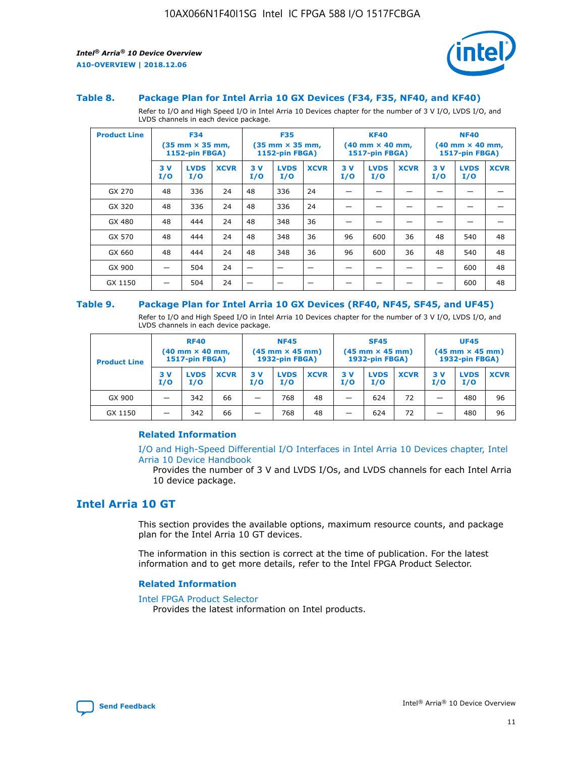

#### **Table 8. Package Plan for Intel Arria 10 GX Devices (F34, F35, NF40, and KF40)**

Refer to I/O and High Speed I/O in Intel Arria 10 Devices chapter for the number of 3 V I/O, LVDS I/O, and LVDS channels in each device package.

| <b>Product Line</b> | <b>F34</b><br>$(35 \text{ mm} \times 35 \text{ mm})$<br>1152-pin FBGA) |                    | <b>F35</b><br>$(35 \text{ mm} \times 35 \text{ mm})$<br><b>1152-pin FBGA)</b> |           | <b>KF40</b><br>$(40$ mm $\times$ 40 mm,<br>1517-pin FBGA) |             |           | <b>NF40</b><br>$(40$ mm $\times$ 40 mm,<br><b>1517-pin FBGA)</b> |             |            |                    |             |
|---------------------|------------------------------------------------------------------------|--------------------|-------------------------------------------------------------------------------|-----------|-----------------------------------------------------------|-------------|-----------|------------------------------------------------------------------|-------------|------------|--------------------|-------------|
|                     | 3V<br>I/O                                                              | <b>LVDS</b><br>I/O | <b>XCVR</b>                                                                   | 3V<br>I/O | <b>LVDS</b><br>I/O                                        | <b>XCVR</b> | 3V<br>I/O | <b>LVDS</b><br>I/O                                               | <b>XCVR</b> | 3 V<br>I/O | <b>LVDS</b><br>I/O | <b>XCVR</b> |
| GX 270              | 48                                                                     | 336                | 24                                                                            | 48        | 336                                                       | 24          |           |                                                                  |             |            |                    |             |
| GX 320              | 48                                                                     | 336                | 24                                                                            | 48        | 336                                                       | 24          |           |                                                                  |             |            |                    |             |
| GX 480              | 48                                                                     | 444                | 24                                                                            | 48        | 348                                                       | 36          |           |                                                                  |             |            |                    |             |
| GX 570              | 48                                                                     | 444                | 24                                                                            | 48        | 348                                                       | 36          | 96        | 600                                                              | 36          | 48         | 540                | 48          |
| GX 660              | 48                                                                     | 444                | 24                                                                            | 48        | 348                                                       | 36          | 96        | 600                                                              | 36          | 48         | 540                | 48          |
| GX 900              |                                                                        | 504                | 24                                                                            | -         |                                                           |             |           |                                                                  |             |            | 600                | 48          |
| GX 1150             |                                                                        | 504                | 24                                                                            |           |                                                           |             |           |                                                                  |             |            | 600                | 48          |

#### **Table 9. Package Plan for Intel Arria 10 GX Devices (RF40, NF45, SF45, and UF45)**

Refer to I/O and High Speed I/O in Intel Arria 10 Devices chapter for the number of 3 V I/O, LVDS I/O, and LVDS channels in each device package.

| <b>Product Line</b> | <b>RF40</b><br>$(40$ mm $\times$ 40 mm,<br>1517-pin FBGA) |                    | <b>NF45</b><br>$(45 \text{ mm} \times 45 \text{ mm})$<br><b>1932-pin FBGA)</b> |            |                    | <b>SF45</b><br>$(45 \text{ mm} \times 45 \text{ mm})$<br><b>1932-pin FBGA)</b> |            |                    | <b>UF45</b><br>$(45 \text{ mm} \times 45 \text{ mm})$<br><b>1932-pin FBGA)</b> |           |                    |             |
|---------------------|-----------------------------------------------------------|--------------------|--------------------------------------------------------------------------------|------------|--------------------|--------------------------------------------------------------------------------|------------|--------------------|--------------------------------------------------------------------------------|-----------|--------------------|-------------|
|                     | 3V<br>I/O                                                 | <b>LVDS</b><br>I/O | <b>XCVR</b>                                                                    | 3 V<br>I/O | <b>LVDS</b><br>I/O | <b>XCVR</b>                                                                    | 3 V<br>I/O | <b>LVDS</b><br>I/O | <b>XCVR</b>                                                                    | 3V<br>I/O | <b>LVDS</b><br>I/O | <b>XCVR</b> |
| GX 900              |                                                           | 342                | 66                                                                             | _          | 768                | 48                                                                             |            | 624                | 72                                                                             |           | 480                | 96          |
| GX 1150             |                                                           | 342                | 66                                                                             | _          | 768                | 48                                                                             |            | 624                | 72                                                                             |           | 480                | 96          |

#### **Related Information**

[I/O and High-Speed Differential I/O Interfaces in Intel Arria 10 Devices chapter, Intel](https://www.intel.com/content/www/us/en/programmable/documentation/sam1403482614086.html#sam1403482030321) [Arria 10 Device Handbook](https://www.intel.com/content/www/us/en/programmable/documentation/sam1403482614086.html#sam1403482030321)

Provides the number of 3 V and LVDS I/Os, and LVDS channels for each Intel Arria 10 device package.

## **Intel Arria 10 GT**

This section provides the available options, maximum resource counts, and package plan for the Intel Arria 10 GT devices.

The information in this section is correct at the time of publication. For the latest information and to get more details, refer to the Intel FPGA Product Selector.

#### **Related Information**

#### [Intel FPGA Product Selector](http://www.altera.com/products/selector/psg-selector.html)

Provides the latest information on Intel products.

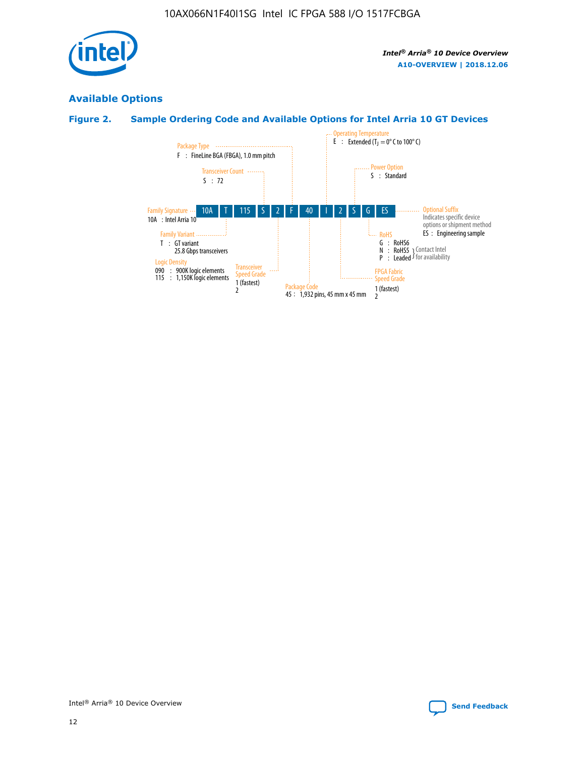

### **Available Options**

#### **Figure 2. Sample Ordering Code and Available Options for Intel Arria 10 GT Devices**

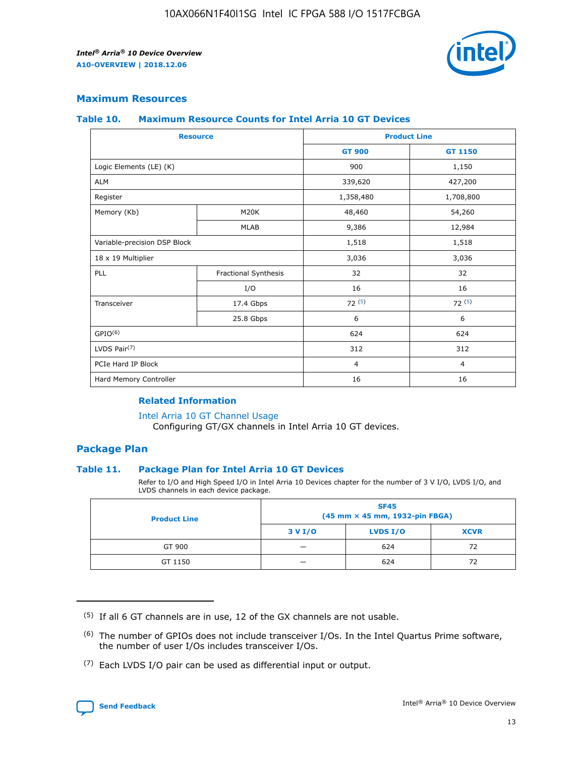

#### **Maximum Resources**

#### **Table 10. Maximum Resource Counts for Intel Arria 10 GT Devices**

|                              | <b>Resource</b>      | <b>Product Line</b> |                |  |
|------------------------------|----------------------|---------------------|----------------|--|
|                              |                      | <b>GT 900</b>       | GT 1150        |  |
| Logic Elements (LE) (K)      |                      | 900                 | 1,150          |  |
| <b>ALM</b>                   |                      | 339,620             | 427,200        |  |
| Register                     |                      | 1,358,480           | 1,708,800      |  |
| Memory (Kb)                  | M20K                 | 48,460              | 54,260         |  |
|                              | <b>MLAB</b>          | 9,386               | 12,984         |  |
| Variable-precision DSP Block |                      | 1,518               | 1,518          |  |
| 18 x 19 Multiplier           |                      | 3,036               | 3,036          |  |
| PLL                          | Fractional Synthesis | 32                  | 32             |  |
|                              | I/O                  | 16                  | 16             |  |
| Transceiver                  | 17.4 Gbps            | 72(5)               | 72(5)          |  |
|                              | 25.8 Gbps            | 6                   | 6              |  |
| GPIO <sup>(6)</sup>          |                      | 624                 | 624            |  |
| LVDS Pair $(7)$              |                      | 312                 | 312            |  |
| PCIe Hard IP Block           |                      | $\overline{4}$      | $\overline{4}$ |  |
| Hard Memory Controller       |                      | 16                  | 16             |  |

#### **Related Information**

#### [Intel Arria 10 GT Channel Usage](https://www.intel.com/content/www/us/en/programmable/documentation/nik1398707230472.html#nik1398707008178)

Configuring GT/GX channels in Intel Arria 10 GT devices.

#### **Package Plan**

#### **Table 11. Package Plan for Intel Arria 10 GT Devices**

Refer to I/O and High Speed I/O in Intel Arria 10 Devices chapter for the number of 3 V I/O, LVDS I/O, and LVDS channels in each device package.

| <b>Product Line</b> | <b>SF45</b><br>(45 mm × 45 mm, 1932-pin FBGA) |                 |             |  |  |  |
|---------------------|-----------------------------------------------|-----------------|-------------|--|--|--|
|                     | 3 V I/O                                       | <b>LVDS I/O</b> | <b>XCVR</b> |  |  |  |
| GT 900              |                                               | 624             | 72          |  |  |  |
| GT 1150             |                                               | 624             | 72          |  |  |  |

<sup>(7)</sup> Each LVDS I/O pair can be used as differential input or output.



 $(5)$  If all 6 GT channels are in use, 12 of the GX channels are not usable.

<sup>(6)</sup> The number of GPIOs does not include transceiver I/Os. In the Intel Quartus Prime software, the number of user I/Os includes transceiver I/Os.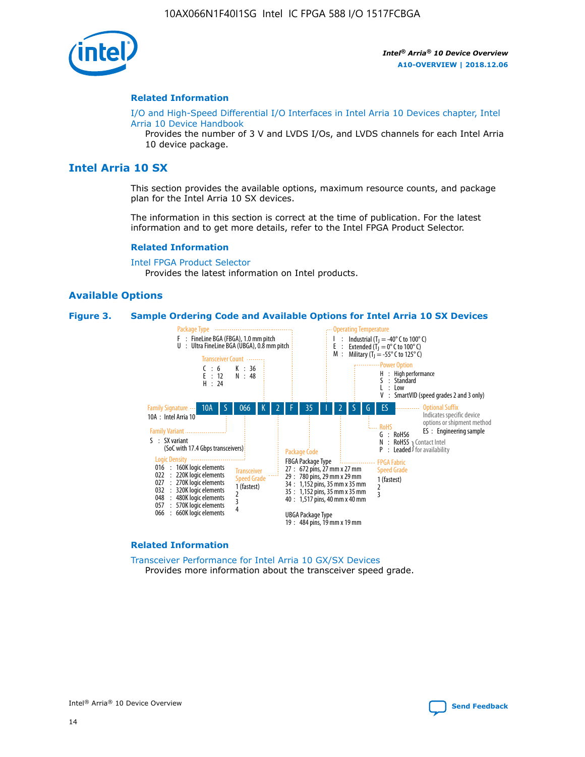

#### **Related Information**

[I/O and High-Speed Differential I/O Interfaces in Intel Arria 10 Devices chapter, Intel](https://www.intel.com/content/www/us/en/programmable/documentation/sam1403482614086.html#sam1403482030321) [Arria 10 Device Handbook](https://www.intel.com/content/www/us/en/programmable/documentation/sam1403482614086.html#sam1403482030321)

Provides the number of 3 V and LVDS I/Os, and LVDS channels for each Intel Arria 10 device package.

#### **Intel Arria 10 SX**

This section provides the available options, maximum resource counts, and package plan for the Intel Arria 10 SX devices.

The information in this section is correct at the time of publication. For the latest information and to get more details, refer to the Intel FPGA Product Selector.

#### **Related Information**

[Intel FPGA Product Selector](http://www.altera.com/products/selector/psg-selector.html) Provides the latest information on Intel products.

#### **Available Options**

#### **Figure 3. Sample Ordering Code and Available Options for Intel Arria 10 SX Devices**



#### **Related Information**

[Transceiver Performance for Intel Arria 10 GX/SX Devices](https://www.intel.com/content/www/us/en/programmable/documentation/mcn1413182292568.html#mcn1413213965502) Provides more information about the transceiver speed grade.

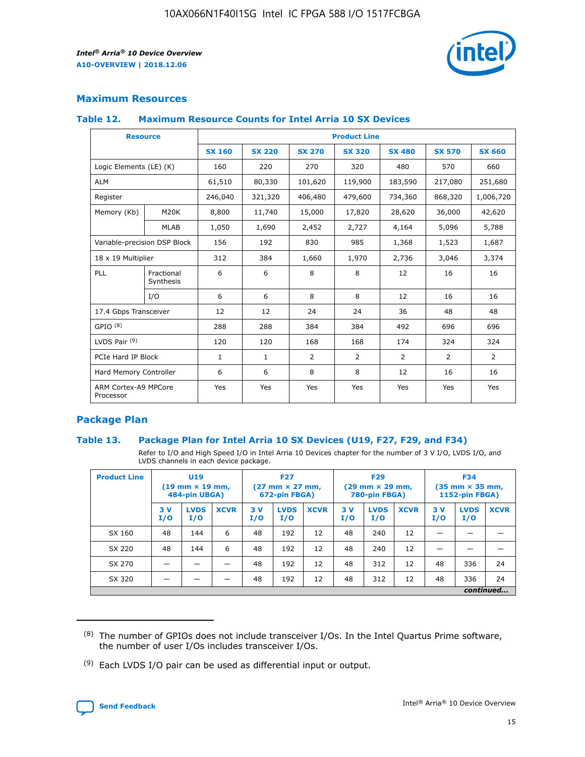

#### **Maximum Resources**

#### **Table 12. Maximum Resource Counts for Intel Arria 10 SX Devices**

| <b>Resource</b>                   |                         | <b>Product Line</b> |               |                |                |                |                |                |  |  |  |
|-----------------------------------|-------------------------|---------------------|---------------|----------------|----------------|----------------|----------------|----------------|--|--|--|
|                                   |                         | <b>SX 160</b>       | <b>SX 220</b> | <b>SX 270</b>  | <b>SX 320</b>  | <b>SX 480</b>  | <b>SX 570</b>  | <b>SX 660</b>  |  |  |  |
| Logic Elements (LE) (K)           |                         | 160                 | 220           | 270            | 320            | 480            | 570            | 660            |  |  |  |
| <b>ALM</b>                        |                         | 61,510              | 80,330        | 101,620        | 119,900        | 183,590        | 217,080        | 251,680        |  |  |  |
| Register                          |                         | 246,040             | 321,320       | 406,480        | 479,600        | 734,360        | 868,320        | 1,006,720      |  |  |  |
| Memory (Kb)                       | M <sub>20</sub> K       | 8,800               | 11,740        | 15,000         | 17,820         | 28,620         | 36,000         | 42,620         |  |  |  |
|                                   | <b>MLAB</b>             | 1,050               | 1,690         | 2,452          | 2,727          | 4,164          | 5,096          | 5,788          |  |  |  |
| Variable-precision DSP Block      |                         | 156                 | 192           | 830            | 985            | 1,368          | 1,523          | 1,687          |  |  |  |
| 18 x 19 Multiplier                |                         | 312                 | 384           | 1,660          | 1,970          | 2,736          | 3,046          | 3,374          |  |  |  |
| PLL                               | Fractional<br>Synthesis | 6                   | 6             | 8              | 8              | 12             | 16             | 16             |  |  |  |
|                                   | I/O                     | 6                   | 6             | 8              | 8              | 12             | 16             | 16             |  |  |  |
| 17.4 Gbps Transceiver             |                         | 12                  | 12            | 24             | 24             | 36             | 48             | 48             |  |  |  |
| GPIO <sup>(8)</sup>               |                         | 288                 | 288           | 384            | 384            | 492            | 696            | 696            |  |  |  |
| LVDS Pair $(9)$                   |                         | 120                 | 120           | 168            | 168            | 174            | 324            | 324            |  |  |  |
| PCIe Hard IP Block                |                         | $\mathbf{1}$        | $\mathbf{1}$  | $\overline{2}$ | $\overline{2}$ | $\overline{2}$ | $\overline{2}$ | $\overline{2}$ |  |  |  |
| Hard Memory Controller            |                         | 6                   | 6             | 8              | 8              | 12             | 16             | 16             |  |  |  |
| ARM Cortex-A9 MPCore<br>Processor |                         | Yes                 | Yes           | Yes            | Yes            | Yes            | Yes            | <b>Yes</b>     |  |  |  |

#### **Package Plan**

#### **Table 13. Package Plan for Intel Arria 10 SX Devices (U19, F27, F29, and F34)**

Refer to I/O and High Speed I/O in Intel Arria 10 Devices chapter for the number of 3 V I/O, LVDS I/O, and LVDS channels in each device package.

| <b>Product Line</b> | U19<br>$(19 \text{ mm} \times 19 \text{ mm})$<br>484-pin UBGA) |                    | <b>F27</b><br>$(27 \text{ mm} \times 27 \text{ mm})$<br>672-pin FBGA) |           | <b>F29</b><br>$(29 \text{ mm} \times 29 \text{ mm})$<br>780-pin FBGA) |             |            | <b>F34</b><br>$(35 \text{ mm} \times 35 \text{ mm})$<br><b>1152-pin FBGA)</b> |             |           |                    |             |
|---------------------|----------------------------------------------------------------|--------------------|-----------------------------------------------------------------------|-----------|-----------------------------------------------------------------------|-------------|------------|-------------------------------------------------------------------------------|-------------|-----------|--------------------|-------------|
|                     | 3V<br>I/O                                                      | <b>LVDS</b><br>I/O | <b>XCVR</b>                                                           | 3V<br>I/O | <b>LVDS</b><br>I/O                                                    | <b>XCVR</b> | 3 V<br>I/O | <b>LVDS</b><br>I/O                                                            | <b>XCVR</b> | 3V<br>I/O | <b>LVDS</b><br>I/O | <b>XCVR</b> |
| SX 160              | 48                                                             | 144                | 6                                                                     | 48        | 192                                                                   | 12          | 48         | 240                                                                           | 12          | –         |                    |             |
| SX 220              | 48                                                             | 144                | 6                                                                     | 48        | 192                                                                   | 12          | 48         | 240                                                                           | 12          |           |                    |             |
| SX 270              |                                                                |                    |                                                                       | 48        | 192                                                                   | 12          | 48         | 312                                                                           | 12          | 48        | 336                | 24          |
| SX 320              |                                                                |                    |                                                                       | 48        | 192                                                                   | 12          | 48         | 312                                                                           | 12          | 48        | 336                | 24          |
|                     | continued                                                      |                    |                                                                       |           |                                                                       |             |            |                                                                               |             |           |                    |             |

 $(8)$  The number of GPIOs does not include transceiver I/Os. In the Intel Quartus Prime software, the number of user I/Os includes transceiver I/Os.

 $(9)$  Each LVDS I/O pair can be used as differential input or output.

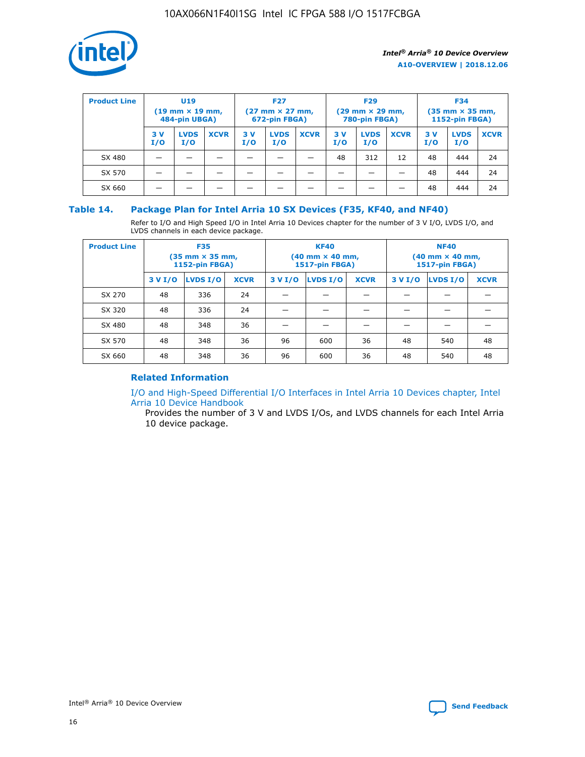

| <b>Product Line</b> | U <sub>19</sub><br>$(19 \text{ mm} \times 19 \text{ mm})$<br>484-pin UBGA) |                    | <b>F27</b><br>$(27 \text{ mm} \times 27 \text{ mm})$<br>672-pin FBGA) |           | <b>F29</b><br>$(29 \text{ mm} \times 29 \text{ mm})$<br>780-pin FBGA) |             |           | <b>F34</b><br>$(35 \text{ mm} \times 35 \text{ mm})$<br><b>1152-pin FBGA)</b> |             |           |                    |             |
|---------------------|----------------------------------------------------------------------------|--------------------|-----------------------------------------------------------------------|-----------|-----------------------------------------------------------------------|-------------|-----------|-------------------------------------------------------------------------------|-------------|-----------|--------------------|-------------|
|                     | 3 V<br>I/O                                                                 | <b>LVDS</b><br>I/O | <b>XCVR</b>                                                           | 3V<br>I/O | <b>LVDS</b><br>I/O                                                    | <b>XCVR</b> | 3V<br>I/O | <b>LVDS</b><br>I/O                                                            | <b>XCVR</b> | 3V<br>I/O | <b>LVDS</b><br>I/O | <b>XCVR</b> |
| SX 480              |                                                                            |                    |                                                                       |           |                                                                       |             | 48        | 312                                                                           | 12          | 48        | 444                | 24          |
| SX 570              |                                                                            |                    |                                                                       |           |                                                                       |             |           |                                                                               |             | 48        | 444                | 24          |
| SX 660              |                                                                            |                    |                                                                       |           |                                                                       |             |           |                                                                               |             | 48        | 444                | 24          |

#### **Table 14. Package Plan for Intel Arria 10 SX Devices (F35, KF40, and NF40)**

Refer to I/O and High Speed I/O in Intel Arria 10 Devices chapter for the number of 3 V I/O, LVDS I/O, and LVDS channels in each device package.

| <b>Product Line</b> | <b>F35</b><br>$(35 \text{ mm} \times 35 \text{ mm})$<br><b>1152-pin FBGA)</b> |          |             |                                           | <b>KF40</b><br>(40 mm × 40 mm,<br>1517-pin FBGA) |    | <b>NF40</b><br>$(40 \text{ mm} \times 40 \text{ mm})$<br>1517-pin FBGA) |          |             |  |
|---------------------|-------------------------------------------------------------------------------|----------|-------------|-------------------------------------------|--------------------------------------------------|----|-------------------------------------------------------------------------|----------|-------------|--|
|                     | 3 V I/O                                                                       | LVDS I/O | <b>XCVR</b> | <b>LVDS I/O</b><br><b>XCVR</b><br>3 V I/O |                                                  |    | 3 V I/O                                                                 | LVDS I/O | <b>XCVR</b> |  |
| SX 270              | 48                                                                            | 336      | 24          |                                           |                                                  |    |                                                                         |          |             |  |
| SX 320              | 48                                                                            | 336      | 24          |                                           |                                                  |    |                                                                         |          |             |  |
| SX 480              | 48                                                                            | 348      | 36          |                                           |                                                  |    |                                                                         |          |             |  |
| SX 570              | 48                                                                            | 348      | 36          | 96                                        | 600                                              | 36 | 48                                                                      | 540      | 48          |  |
| SX 660              | 48                                                                            | 348      | 36          | 96                                        | 600                                              | 36 | 48                                                                      | 540      | 48          |  |

#### **Related Information**

[I/O and High-Speed Differential I/O Interfaces in Intel Arria 10 Devices chapter, Intel](https://www.intel.com/content/www/us/en/programmable/documentation/sam1403482614086.html#sam1403482030321) [Arria 10 Device Handbook](https://www.intel.com/content/www/us/en/programmable/documentation/sam1403482614086.html#sam1403482030321)

Provides the number of 3 V and LVDS I/Os, and LVDS channels for each Intel Arria 10 device package.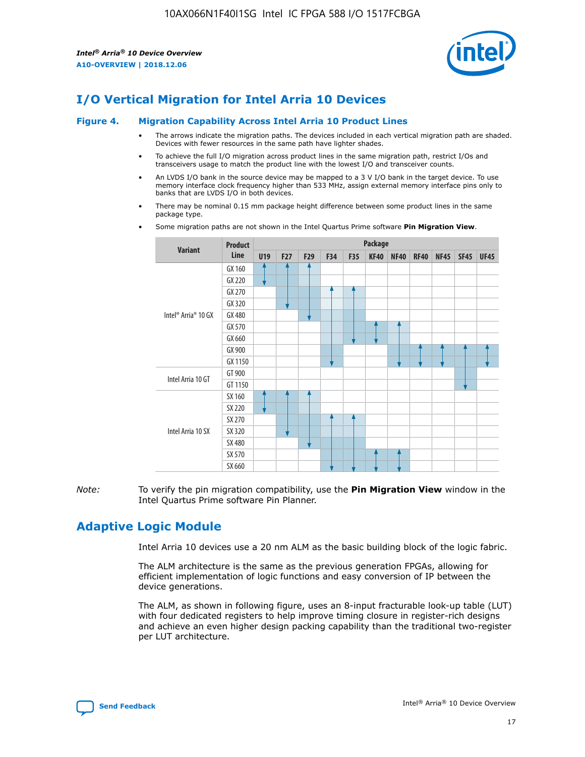

## **I/O Vertical Migration for Intel Arria 10 Devices**

#### **Figure 4. Migration Capability Across Intel Arria 10 Product Lines**

- The arrows indicate the migration paths. The devices included in each vertical migration path are shaded. Devices with fewer resources in the same path have lighter shades.
- To achieve the full I/O migration across product lines in the same migration path, restrict I/Os and transceivers usage to match the product line with the lowest I/O and transceiver counts.
- An LVDS I/O bank in the source device may be mapped to a 3 V I/O bank in the target device. To use memory interface clock frequency higher than 533 MHz, assign external memory interface pins only to banks that are LVDS I/O in both devices.
- There may be nominal 0.15 mm package height difference between some product lines in the same package type.
	- **Variant Product Line Package U19 F27 F29 F34 F35 KF40 NF40 RF40 NF45 SF45 UF45** Intel® Arria® 10 GX GX 160 GX 220 GX 270 GX 320 GX 480 GX 570 GX 660 GX 900 GX 1150 Intel Arria 10 GT GT 900 GT 1150 Intel Arria 10 SX SX 160 SX 220 SX 270 SX 320 SX 480 SX 570 SX 660
- Some migration paths are not shown in the Intel Quartus Prime software **Pin Migration View**.

*Note:* To verify the pin migration compatibility, use the **Pin Migration View** window in the Intel Quartus Prime software Pin Planner.

## **Adaptive Logic Module**

Intel Arria 10 devices use a 20 nm ALM as the basic building block of the logic fabric.

The ALM architecture is the same as the previous generation FPGAs, allowing for efficient implementation of logic functions and easy conversion of IP between the device generations.

The ALM, as shown in following figure, uses an 8-input fracturable look-up table (LUT) with four dedicated registers to help improve timing closure in register-rich designs and achieve an even higher design packing capability than the traditional two-register per LUT architecture.

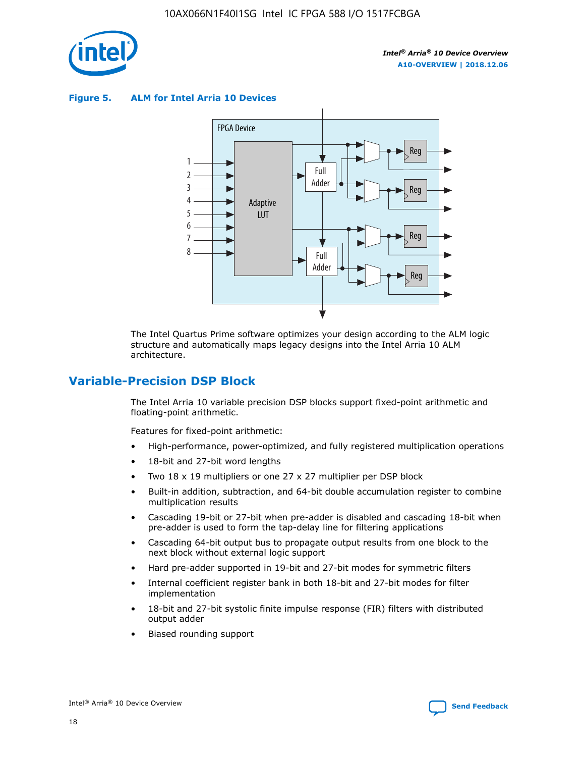

**Figure 5. ALM for Intel Arria 10 Devices**



The Intel Quartus Prime software optimizes your design according to the ALM logic structure and automatically maps legacy designs into the Intel Arria 10 ALM architecture.

## **Variable-Precision DSP Block**

The Intel Arria 10 variable precision DSP blocks support fixed-point arithmetic and floating-point arithmetic.

Features for fixed-point arithmetic:

- High-performance, power-optimized, and fully registered multiplication operations
- 18-bit and 27-bit word lengths
- Two 18 x 19 multipliers or one 27 x 27 multiplier per DSP block
- Built-in addition, subtraction, and 64-bit double accumulation register to combine multiplication results
- Cascading 19-bit or 27-bit when pre-adder is disabled and cascading 18-bit when pre-adder is used to form the tap-delay line for filtering applications
- Cascading 64-bit output bus to propagate output results from one block to the next block without external logic support
- Hard pre-adder supported in 19-bit and 27-bit modes for symmetric filters
- Internal coefficient register bank in both 18-bit and 27-bit modes for filter implementation
- 18-bit and 27-bit systolic finite impulse response (FIR) filters with distributed output adder
- Biased rounding support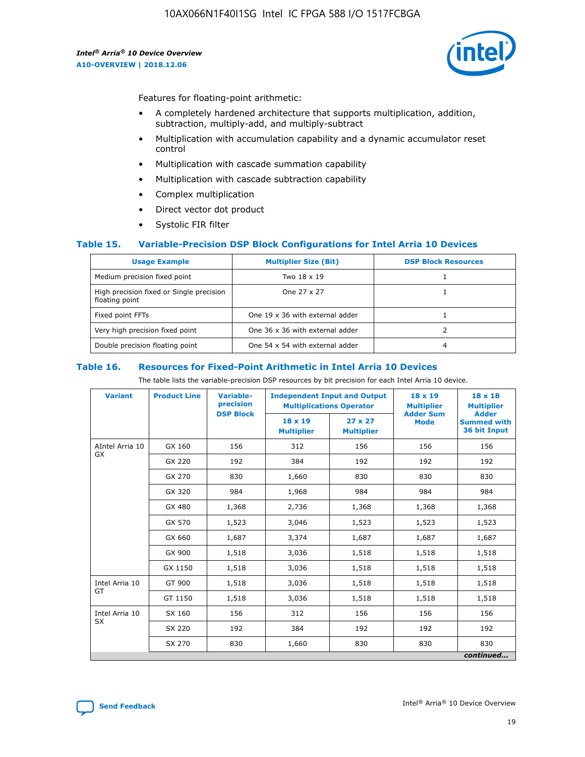

Features for floating-point arithmetic:

- A completely hardened architecture that supports multiplication, addition, subtraction, multiply-add, and multiply-subtract
- Multiplication with accumulation capability and a dynamic accumulator reset control
- Multiplication with cascade summation capability
- Multiplication with cascade subtraction capability
- Complex multiplication
- Direct vector dot product
- Systolic FIR filter

#### **Table 15. Variable-Precision DSP Block Configurations for Intel Arria 10 Devices**

| <b>Usage Example</b>                                       | <b>Multiplier Size (Bit)</b>    | <b>DSP Block Resources</b> |
|------------------------------------------------------------|---------------------------------|----------------------------|
| Medium precision fixed point                               | Two 18 x 19                     |                            |
| High precision fixed or Single precision<br>floating point | One 27 x 27                     |                            |
| Fixed point FFTs                                           | One 19 x 36 with external adder |                            |
| Very high precision fixed point                            | One 36 x 36 with external adder |                            |
| Double precision floating point                            | One 54 x 54 with external adder | 4                          |

#### **Table 16. Resources for Fixed-Point Arithmetic in Intel Arria 10 Devices**

The table lists the variable-precision DSP resources by bit precision for each Intel Arria 10 device.

| <b>Variant</b>  | <b>Product Line</b> | <b>Variable-</b><br>precision<br><b>DSP Block</b> | <b>Independent Input and Output</b><br><b>Multiplications Operator</b> |                                     | 18 x 19<br><b>Multiplier</b><br><b>Adder Sum</b> | $18 \times 18$<br><b>Multiplier</b><br><b>Adder</b> |
|-----------------|---------------------|---------------------------------------------------|------------------------------------------------------------------------|-------------------------------------|--------------------------------------------------|-----------------------------------------------------|
|                 |                     |                                                   | 18 x 19<br><b>Multiplier</b>                                           | $27 \times 27$<br><b>Multiplier</b> | <b>Mode</b>                                      | <b>Summed with</b><br>36 bit Input                  |
| AIntel Arria 10 | GX 160              | 156                                               | 312                                                                    | 156                                 | 156                                              | 156                                                 |
| GX              | GX 220              | 192                                               | 384                                                                    | 192                                 | 192                                              | 192                                                 |
|                 | GX 270              | 830                                               | 1,660                                                                  | 830                                 | 830                                              | 830                                                 |
|                 | GX 320              | 984                                               | 1,968                                                                  | 984                                 | 984                                              | 984                                                 |
|                 | GX 480              | 1,368                                             | 2,736                                                                  | 1,368                               | 1,368                                            | 1,368                                               |
|                 | GX 570              | 1,523                                             | 3,046                                                                  | 1,523                               | 1,523                                            | 1,523                                               |
|                 | GX 660              | 1,687                                             | 3,374                                                                  | 1,687                               | 1,687                                            | 1,687                                               |
|                 | GX 900              | 1,518                                             | 3,036                                                                  | 1,518                               | 1,518                                            | 1,518                                               |
|                 | GX 1150             | 1,518                                             | 3,036                                                                  | 1,518                               | 1,518                                            | 1,518                                               |
| Intel Arria 10  | GT 900              | 1,518                                             | 3,036                                                                  | 1,518                               | 1,518                                            | 1,518                                               |
| GT              | GT 1150             | 1,518                                             | 3,036                                                                  | 1,518                               | 1,518                                            | 1,518                                               |
| Intel Arria 10  | SX 160              | 156                                               | 312                                                                    | 156                                 | 156                                              | 156                                                 |
| <b>SX</b>       | SX 220<br>192       |                                                   | 384                                                                    | 192                                 | 192                                              | 192                                                 |
|                 | SX 270              | 830                                               | 1,660                                                                  | 830                                 | 830                                              | 830                                                 |
|                 |                     |                                                   |                                                                        |                                     |                                                  | continued                                           |

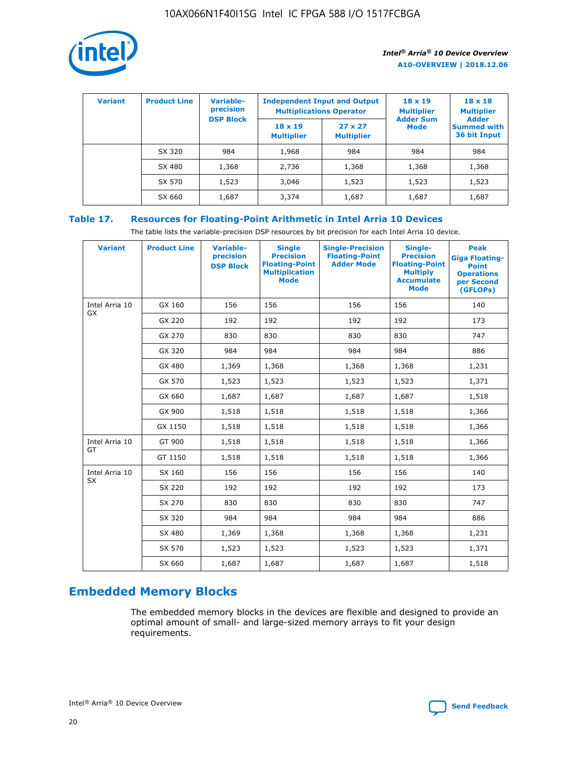

| <b>Variant</b> | <b>Product Line</b> | Variable-<br>precision | <b>Independent Input and Output</b><br><b>Multiplications Operator</b> |                                     | $18 \times 19$<br><b>Multiplier</b> | $18 \times 18$<br><b>Multiplier</b><br><b>Adder</b> |  |
|----------------|---------------------|------------------------|------------------------------------------------------------------------|-------------------------------------|-------------------------------------|-----------------------------------------------------|--|
|                |                     | <b>DSP Block</b>       | $18 \times 19$<br><b>Multiplier</b>                                    | $27 \times 27$<br><b>Multiplier</b> | <b>Adder Sum</b><br><b>Mode</b>     | <b>Summed with</b><br>36 bit Input                  |  |
|                | SX 320              | 984                    | 1,968                                                                  | 984                                 | 984                                 | 984                                                 |  |
|                | SX 480              | 1,368                  | 2,736                                                                  | 1,368                               | 1,368                               | 1,368                                               |  |
|                | SX 570              | 1,523                  | 3,046                                                                  | 1,523                               | 1,523                               | 1,523                                               |  |
|                | SX 660              | 1,687                  | 3,374                                                                  | 1,687                               | 1,687                               | 1,687                                               |  |

#### **Table 17. Resources for Floating-Point Arithmetic in Intel Arria 10 Devices**

The table lists the variable-precision DSP resources by bit precision for each Intel Arria 10 device.

| <b>Variant</b> | <b>Product Line</b> | <b>Variable-</b><br>precision<br><b>DSP Block</b> | <b>Single</b><br><b>Precision</b><br><b>Floating-Point</b><br><b>Multiplication</b><br><b>Mode</b> | <b>Single-Precision</b><br><b>Floating-Point</b><br><b>Adder Mode</b> | Single-<br><b>Precision</b><br><b>Floating-Point</b><br><b>Multiply</b><br><b>Accumulate</b><br><b>Mode</b> | <b>Peak</b><br><b>Giga Floating-</b><br><b>Point</b><br><b>Operations</b><br>per Second<br>(GFLOPs) |
|----------------|---------------------|---------------------------------------------------|----------------------------------------------------------------------------------------------------|-----------------------------------------------------------------------|-------------------------------------------------------------------------------------------------------------|-----------------------------------------------------------------------------------------------------|
| Intel Arria 10 | GX 160              | 156                                               | 156                                                                                                | 156                                                                   | 156                                                                                                         | 140                                                                                                 |
| GX             | GX 220              | 192                                               | 192                                                                                                | 192                                                                   | 192                                                                                                         | 173                                                                                                 |
|                | GX 270              | 830                                               | 830                                                                                                | 830                                                                   | 830                                                                                                         | 747                                                                                                 |
|                | GX 320              | 984                                               | 984                                                                                                | 984                                                                   | 984                                                                                                         | 886                                                                                                 |
|                | GX 480              | 1,369                                             | 1,368                                                                                              | 1,368                                                                 | 1,368                                                                                                       | 1,231                                                                                               |
|                | GX 570              | 1,523                                             | 1,523                                                                                              | 1,523                                                                 | 1,523                                                                                                       | 1,371                                                                                               |
|                | GX 660              | 1,687                                             | 1,687                                                                                              | 1,687                                                                 | 1,687                                                                                                       | 1,518                                                                                               |
|                | GX 900              | 1,518                                             | 1,518                                                                                              | 1,518                                                                 | 1,518                                                                                                       | 1,366                                                                                               |
|                | GX 1150             | 1,518                                             | 1,518                                                                                              | 1,518                                                                 | 1,518                                                                                                       | 1,366                                                                                               |
| Intel Arria 10 | GT 900              | 1,518                                             | 1,518                                                                                              | 1,518                                                                 | 1,518                                                                                                       | 1,366                                                                                               |
| GT             | GT 1150             | 1,518                                             | 1,518                                                                                              | 1,518                                                                 | 1,518                                                                                                       | 1,366                                                                                               |
| Intel Arria 10 | SX 160              | 156                                               | 156                                                                                                | 156                                                                   | 156                                                                                                         | 140                                                                                                 |
| <b>SX</b>      | SX 220              | 192                                               | 192                                                                                                | 192                                                                   | 192                                                                                                         | 173                                                                                                 |
|                | SX 270              | 830                                               | 830                                                                                                | 830                                                                   | 830                                                                                                         | 747                                                                                                 |
|                | SX 320              | 984                                               | 984                                                                                                | 984                                                                   | 984                                                                                                         | 886                                                                                                 |
|                | SX 480              | 1,369                                             | 1,368                                                                                              | 1,368                                                                 | 1,368                                                                                                       | 1,231                                                                                               |
|                | SX 570              | 1,523                                             | 1,523                                                                                              | 1,523                                                                 | 1,523                                                                                                       | 1,371                                                                                               |
|                | SX 660              | 1,687                                             | 1,687                                                                                              | 1,687                                                                 | 1,687                                                                                                       | 1,518                                                                                               |

## **Embedded Memory Blocks**

The embedded memory blocks in the devices are flexible and designed to provide an optimal amount of small- and large-sized memory arrays to fit your design requirements.

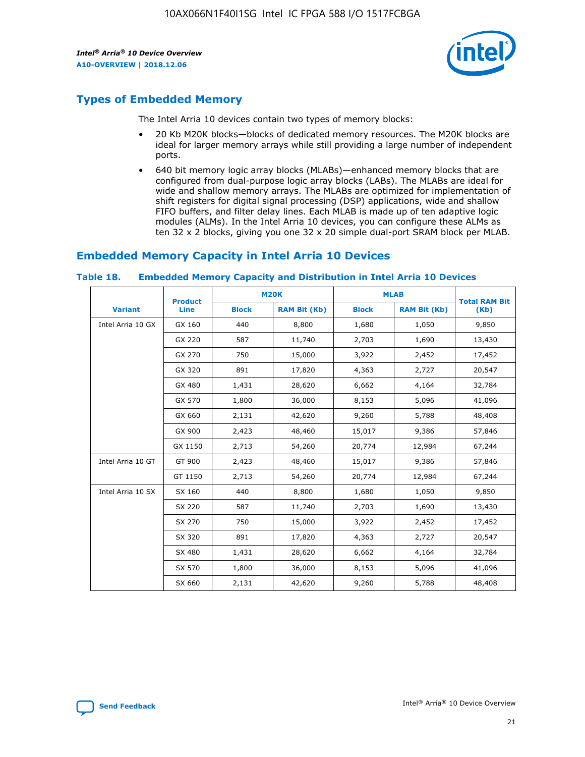

## **Types of Embedded Memory**

The Intel Arria 10 devices contain two types of memory blocks:

- 20 Kb M20K blocks—blocks of dedicated memory resources. The M20K blocks are ideal for larger memory arrays while still providing a large number of independent ports.
- 640 bit memory logic array blocks (MLABs)—enhanced memory blocks that are configured from dual-purpose logic array blocks (LABs). The MLABs are ideal for wide and shallow memory arrays. The MLABs are optimized for implementation of shift registers for digital signal processing (DSP) applications, wide and shallow FIFO buffers, and filter delay lines. Each MLAB is made up of ten adaptive logic modules (ALMs). In the Intel Arria 10 devices, you can configure these ALMs as ten 32 x 2 blocks, giving you one 32 x 20 simple dual-port SRAM block per MLAB.

## **Embedded Memory Capacity in Intel Arria 10 Devices**

|                   | <b>Product</b> | <b>M20K</b>  |                     | <b>MLAB</b>  |                     | <b>Total RAM Bit</b> |
|-------------------|----------------|--------------|---------------------|--------------|---------------------|----------------------|
| <b>Variant</b>    | <b>Line</b>    | <b>Block</b> | <b>RAM Bit (Kb)</b> | <b>Block</b> | <b>RAM Bit (Kb)</b> | (Kb)                 |
| Intel Arria 10 GX | GX 160         | 440          | 8,800               | 1,680        | 1,050               | 9,850                |
|                   | GX 220         | 587          | 11,740              | 2,703        | 1,690               | 13,430               |
|                   | GX 270         | 750          | 15,000              | 3,922        | 2,452               | 17,452               |
|                   | GX 320         | 891          | 17,820              | 4,363        | 2,727               | 20,547               |
|                   | GX 480         | 1,431        | 28,620              | 6,662        | 4,164               | 32,784               |
|                   | GX 570         | 1,800        | 36,000              | 8,153        | 5,096               | 41,096               |
|                   | GX 660         | 2,131        | 42,620              | 9,260        | 5,788               | 48,408               |
|                   | GX 900         | 2,423        | 48,460              | 15,017       | 9,386               | 57,846               |
|                   | GX 1150        | 2,713        | 54,260              | 20,774       | 12,984              | 67,244               |
| Intel Arria 10 GT | GT 900         | 2,423        | 48,460              | 15,017       | 9,386               | 57,846               |
|                   | GT 1150        | 2,713        | 54,260              | 20,774       | 12,984              | 67,244               |
| Intel Arria 10 SX | SX 160         | 440          | 8,800               | 1,680        | 1,050               | 9,850                |
|                   | SX 220         | 587          | 11,740              | 2,703        | 1,690               | 13,430               |
|                   | SX 270         | 750          | 15,000              | 3,922        | 2,452               | 17,452               |
|                   | SX 320         | 891          | 17,820              | 4,363        | 2,727               | 20,547               |
|                   | SX 480         | 1,431        | 28,620              | 6,662        | 4,164               | 32,784               |
|                   | SX 570         | 1,800        | 36,000              | 8,153        | 5,096               | 41,096               |
|                   | SX 660         | 2,131        | 42,620              | 9,260        | 5,788               | 48,408               |

#### **Table 18. Embedded Memory Capacity and Distribution in Intel Arria 10 Devices**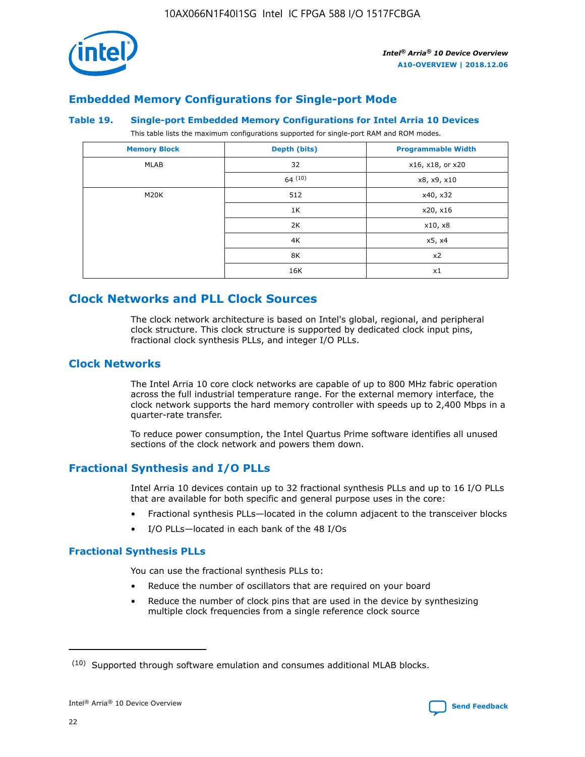

## **Embedded Memory Configurations for Single-port Mode**

#### **Table 19. Single-port Embedded Memory Configurations for Intel Arria 10 Devices**

This table lists the maximum configurations supported for single-port RAM and ROM modes.

| <b>Memory Block</b> | Depth (bits) | <b>Programmable Width</b> |
|---------------------|--------------|---------------------------|
| MLAB                | 32           | x16, x18, or x20          |
|                     | 64(10)       | x8, x9, x10               |
| M20K                | 512          | x40, x32                  |
|                     | 1K           | x20, x16                  |
|                     | 2K           | x10, x8                   |
|                     | 4K           | x5, x4                    |
|                     | 8K           | x2                        |
|                     | 16K          | x1                        |

## **Clock Networks and PLL Clock Sources**

The clock network architecture is based on Intel's global, regional, and peripheral clock structure. This clock structure is supported by dedicated clock input pins, fractional clock synthesis PLLs, and integer I/O PLLs.

#### **Clock Networks**

The Intel Arria 10 core clock networks are capable of up to 800 MHz fabric operation across the full industrial temperature range. For the external memory interface, the clock network supports the hard memory controller with speeds up to 2,400 Mbps in a quarter-rate transfer.

To reduce power consumption, the Intel Quartus Prime software identifies all unused sections of the clock network and powers them down.

#### **Fractional Synthesis and I/O PLLs**

Intel Arria 10 devices contain up to 32 fractional synthesis PLLs and up to 16 I/O PLLs that are available for both specific and general purpose uses in the core:

- Fractional synthesis PLLs—located in the column adjacent to the transceiver blocks
- I/O PLLs—located in each bank of the 48 I/Os

#### **Fractional Synthesis PLLs**

You can use the fractional synthesis PLLs to:

- Reduce the number of oscillators that are required on your board
- Reduce the number of clock pins that are used in the device by synthesizing multiple clock frequencies from a single reference clock source

<sup>(10)</sup> Supported through software emulation and consumes additional MLAB blocks.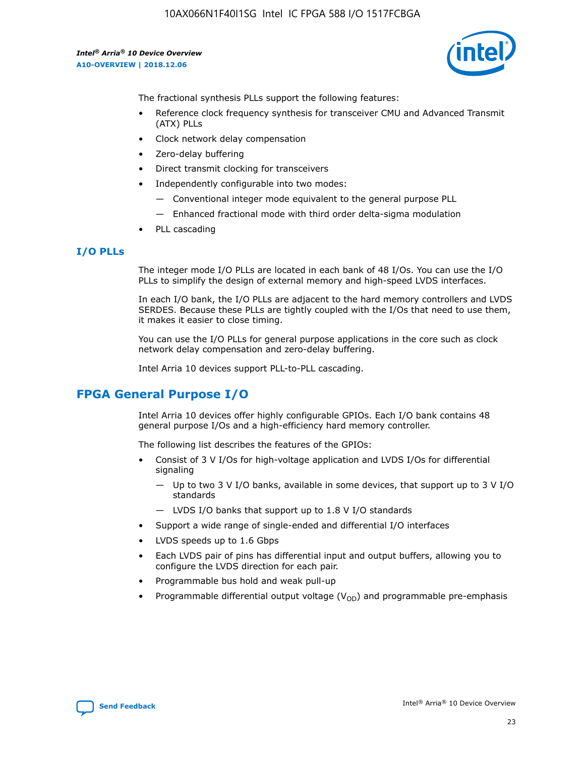10AX066N1F40I1SG Intel IC FPGA 588 I/O 1517FCBGA

*Intel® Arria® 10 Device Overview* **A10-OVERVIEW | 2018.12.06**



The fractional synthesis PLLs support the following features:

- Reference clock frequency synthesis for transceiver CMU and Advanced Transmit (ATX) PLLs
- Clock network delay compensation
- Zero-delay buffering
- Direct transmit clocking for transceivers
- Independently configurable into two modes:
	- Conventional integer mode equivalent to the general purpose PLL
	- Enhanced fractional mode with third order delta-sigma modulation
- PLL cascading

#### **I/O PLLs**

The integer mode I/O PLLs are located in each bank of 48 I/Os. You can use the I/O PLLs to simplify the design of external memory and high-speed LVDS interfaces.

In each I/O bank, the I/O PLLs are adjacent to the hard memory controllers and LVDS SERDES. Because these PLLs are tightly coupled with the I/Os that need to use them, it makes it easier to close timing.

You can use the I/O PLLs for general purpose applications in the core such as clock network delay compensation and zero-delay buffering.

Intel Arria 10 devices support PLL-to-PLL cascading.

## **FPGA General Purpose I/O**

Intel Arria 10 devices offer highly configurable GPIOs. Each I/O bank contains 48 general purpose I/Os and a high-efficiency hard memory controller.

The following list describes the features of the GPIOs:

- Consist of 3 V I/Os for high-voltage application and LVDS I/Os for differential signaling
	- Up to two 3 V I/O banks, available in some devices, that support up to 3 V I/O standards
	- LVDS I/O banks that support up to 1.8 V I/O standards
- Support a wide range of single-ended and differential I/O interfaces
- LVDS speeds up to 1.6 Gbps
- Each LVDS pair of pins has differential input and output buffers, allowing you to configure the LVDS direction for each pair.
- Programmable bus hold and weak pull-up
- Programmable differential output voltage  $(V_{OD})$  and programmable pre-emphasis

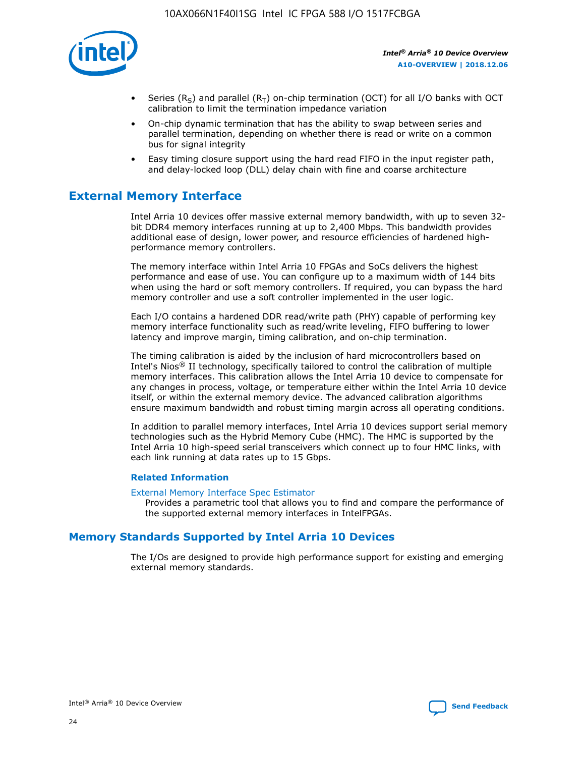

- Series (R<sub>S</sub>) and parallel (R<sub>T</sub>) on-chip termination (OCT) for all I/O banks with OCT calibration to limit the termination impedance variation
- On-chip dynamic termination that has the ability to swap between series and parallel termination, depending on whether there is read or write on a common bus for signal integrity
- Easy timing closure support using the hard read FIFO in the input register path, and delay-locked loop (DLL) delay chain with fine and coarse architecture

## **External Memory Interface**

Intel Arria 10 devices offer massive external memory bandwidth, with up to seven 32 bit DDR4 memory interfaces running at up to 2,400 Mbps. This bandwidth provides additional ease of design, lower power, and resource efficiencies of hardened highperformance memory controllers.

The memory interface within Intel Arria 10 FPGAs and SoCs delivers the highest performance and ease of use. You can configure up to a maximum width of 144 bits when using the hard or soft memory controllers. If required, you can bypass the hard memory controller and use a soft controller implemented in the user logic.

Each I/O contains a hardened DDR read/write path (PHY) capable of performing key memory interface functionality such as read/write leveling, FIFO buffering to lower latency and improve margin, timing calibration, and on-chip termination.

The timing calibration is aided by the inclusion of hard microcontrollers based on Intel's Nios® II technology, specifically tailored to control the calibration of multiple memory interfaces. This calibration allows the Intel Arria 10 device to compensate for any changes in process, voltage, or temperature either within the Intel Arria 10 device itself, or within the external memory device. The advanced calibration algorithms ensure maximum bandwidth and robust timing margin across all operating conditions.

In addition to parallel memory interfaces, Intel Arria 10 devices support serial memory technologies such as the Hybrid Memory Cube (HMC). The HMC is supported by the Intel Arria 10 high-speed serial transceivers which connect up to four HMC links, with each link running at data rates up to 15 Gbps.

#### **Related Information**

#### [External Memory Interface Spec Estimator](http://www.altera.com/technology/memory/estimator/mem-emif-index.html)

Provides a parametric tool that allows you to find and compare the performance of the supported external memory interfaces in IntelFPGAs.

## **Memory Standards Supported by Intel Arria 10 Devices**

The I/Os are designed to provide high performance support for existing and emerging external memory standards.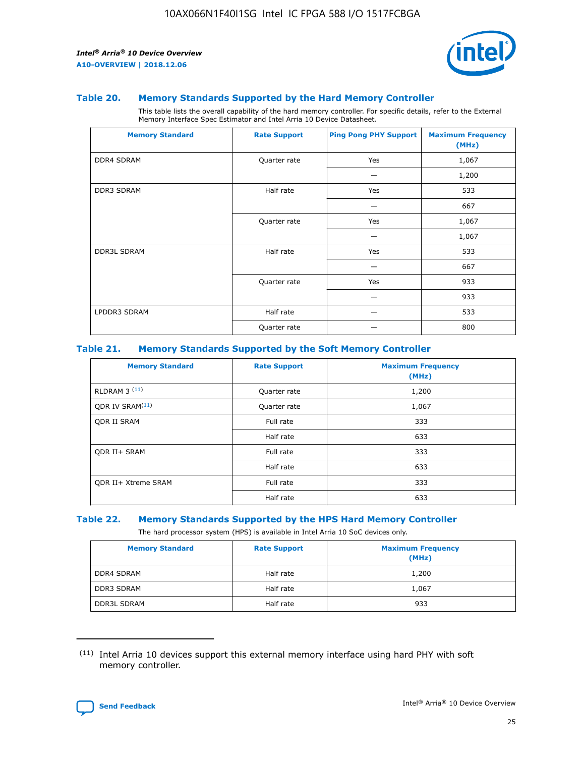

#### **Table 20. Memory Standards Supported by the Hard Memory Controller**

This table lists the overall capability of the hard memory controller. For specific details, refer to the External Memory Interface Spec Estimator and Intel Arria 10 Device Datasheet.

| <b>Memory Standard</b> | <b>Rate Support</b> | <b>Ping Pong PHY Support</b> | <b>Maximum Frequency</b><br>(MHz) |
|------------------------|---------------------|------------------------------|-----------------------------------|
| <b>DDR4 SDRAM</b>      | Quarter rate        | Yes                          | 1,067                             |
|                        |                     |                              | 1,200                             |
| DDR3 SDRAM             | Half rate           | Yes                          | 533                               |
|                        |                     |                              | 667                               |
|                        | Quarter rate        | Yes                          | 1,067                             |
|                        |                     |                              | 1,067                             |
| <b>DDR3L SDRAM</b>     | Half rate           | Yes                          | 533                               |
|                        |                     |                              | 667                               |
|                        | Quarter rate        | Yes                          | 933                               |
|                        |                     |                              | 933                               |
| LPDDR3 SDRAM           | Half rate           |                              | 533                               |
|                        | Quarter rate        |                              | 800                               |

#### **Table 21. Memory Standards Supported by the Soft Memory Controller**

| <b>Memory Standard</b>      | <b>Rate Support</b> | <b>Maximum Frequency</b><br>(MHz) |
|-----------------------------|---------------------|-----------------------------------|
| <b>RLDRAM 3 (11)</b>        | Quarter rate        | 1,200                             |
| ODR IV SRAM <sup>(11)</sup> | Quarter rate        | 1,067                             |
| <b>ODR II SRAM</b>          | Full rate           | 333                               |
|                             | Half rate           | 633                               |
| <b>ODR II+ SRAM</b>         | Full rate           | 333                               |
|                             | Half rate           | 633                               |
| <b>ODR II+ Xtreme SRAM</b>  | Full rate           | 333                               |
|                             | Half rate           | 633                               |

#### **Table 22. Memory Standards Supported by the HPS Hard Memory Controller**

The hard processor system (HPS) is available in Intel Arria 10 SoC devices only.

| <b>Memory Standard</b> | <b>Rate Support</b> | <b>Maximum Frequency</b><br>(MHz) |
|------------------------|---------------------|-----------------------------------|
| <b>DDR4 SDRAM</b>      | Half rate           | 1,200                             |
| <b>DDR3 SDRAM</b>      | Half rate           | 1,067                             |
| <b>DDR3L SDRAM</b>     | Half rate           | 933                               |

<sup>(11)</sup> Intel Arria 10 devices support this external memory interface using hard PHY with soft memory controller.

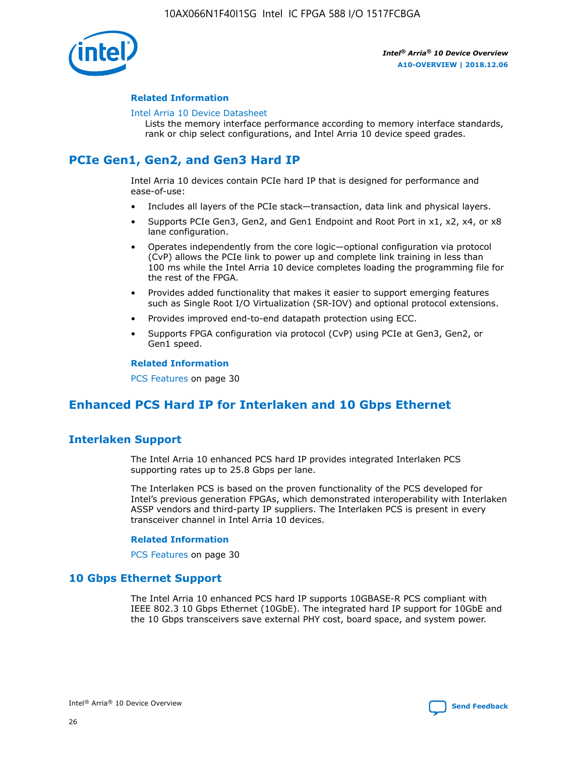

#### **Related Information**

#### [Intel Arria 10 Device Datasheet](https://www.intel.com/content/www/us/en/programmable/documentation/mcn1413182292568.html#mcn1413182153340)

Lists the memory interface performance according to memory interface standards, rank or chip select configurations, and Intel Arria 10 device speed grades.

## **PCIe Gen1, Gen2, and Gen3 Hard IP**

Intel Arria 10 devices contain PCIe hard IP that is designed for performance and ease-of-use:

- Includes all layers of the PCIe stack—transaction, data link and physical layers.
- Supports PCIe Gen3, Gen2, and Gen1 Endpoint and Root Port in x1, x2, x4, or x8 lane configuration.
- Operates independently from the core logic—optional configuration via protocol (CvP) allows the PCIe link to power up and complete link training in less than 100 ms while the Intel Arria 10 device completes loading the programming file for the rest of the FPGA.
- Provides added functionality that makes it easier to support emerging features such as Single Root I/O Virtualization (SR-IOV) and optional protocol extensions.
- Provides improved end-to-end datapath protection using ECC.
- Supports FPGA configuration via protocol (CvP) using PCIe at Gen3, Gen2, or Gen1 speed.

#### **Related Information**

PCS Features on page 30

## **Enhanced PCS Hard IP for Interlaken and 10 Gbps Ethernet**

## **Interlaken Support**

The Intel Arria 10 enhanced PCS hard IP provides integrated Interlaken PCS supporting rates up to 25.8 Gbps per lane.

The Interlaken PCS is based on the proven functionality of the PCS developed for Intel's previous generation FPGAs, which demonstrated interoperability with Interlaken ASSP vendors and third-party IP suppliers. The Interlaken PCS is present in every transceiver channel in Intel Arria 10 devices.

#### **Related Information**

PCS Features on page 30

#### **10 Gbps Ethernet Support**

The Intel Arria 10 enhanced PCS hard IP supports 10GBASE-R PCS compliant with IEEE 802.3 10 Gbps Ethernet (10GbE). The integrated hard IP support for 10GbE and the 10 Gbps transceivers save external PHY cost, board space, and system power.

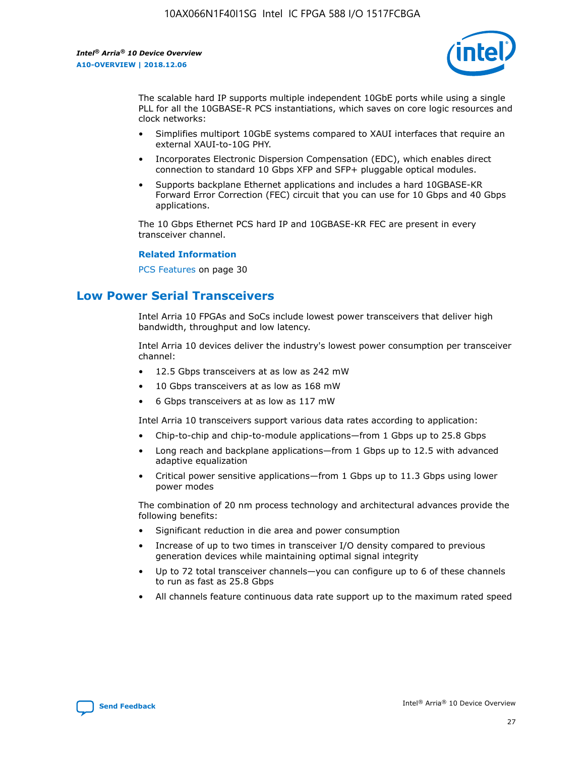

The scalable hard IP supports multiple independent 10GbE ports while using a single PLL for all the 10GBASE-R PCS instantiations, which saves on core logic resources and clock networks:

- Simplifies multiport 10GbE systems compared to XAUI interfaces that require an external XAUI-to-10G PHY.
- Incorporates Electronic Dispersion Compensation (EDC), which enables direct connection to standard 10 Gbps XFP and SFP+ pluggable optical modules.
- Supports backplane Ethernet applications and includes a hard 10GBASE-KR Forward Error Correction (FEC) circuit that you can use for 10 Gbps and 40 Gbps applications.

The 10 Gbps Ethernet PCS hard IP and 10GBASE-KR FEC are present in every transceiver channel.

#### **Related Information**

PCS Features on page 30

## **Low Power Serial Transceivers**

Intel Arria 10 FPGAs and SoCs include lowest power transceivers that deliver high bandwidth, throughput and low latency.

Intel Arria 10 devices deliver the industry's lowest power consumption per transceiver channel:

- 12.5 Gbps transceivers at as low as 242 mW
- 10 Gbps transceivers at as low as 168 mW
- 6 Gbps transceivers at as low as 117 mW

Intel Arria 10 transceivers support various data rates according to application:

- Chip-to-chip and chip-to-module applications—from 1 Gbps up to 25.8 Gbps
- Long reach and backplane applications—from 1 Gbps up to 12.5 with advanced adaptive equalization
- Critical power sensitive applications—from 1 Gbps up to 11.3 Gbps using lower power modes

The combination of 20 nm process technology and architectural advances provide the following benefits:

- Significant reduction in die area and power consumption
- Increase of up to two times in transceiver I/O density compared to previous generation devices while maintaining optimal signal integrity
- Up to 72 total transceiver channels—you can configure up to 6 of these channels to run as fast as 25.8 Gbps
- All channels feature continuous data rate support up to the maximum rated speed

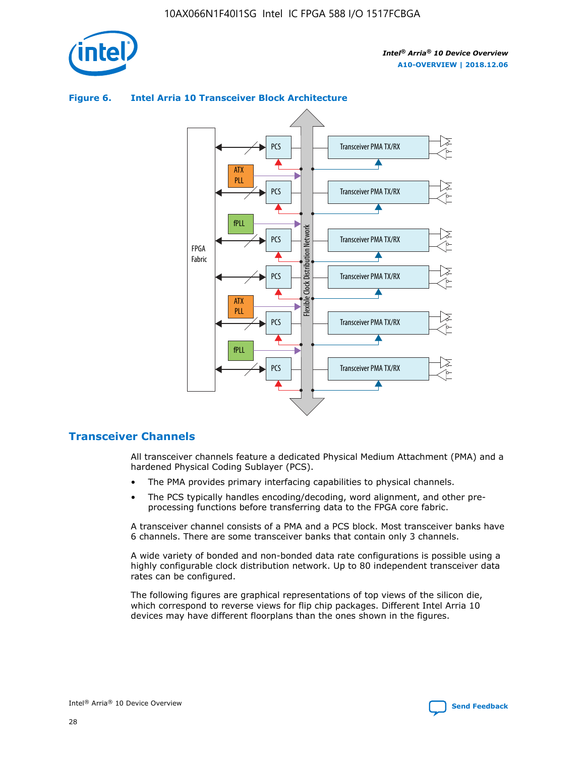

#### Transceiver PMA TX/RX PCS ATX PLL Transceiver PMA TX/RX PCS fPLL Network Flexible Clock Distribution Network PCS Transceiver PMA TX/RX FPGA **Clock Distribution** Fabric PCS Transceiver PMA TX/RX ATX Flexible PLL PCS Transceiver PMA TX/RX ▲ fPLL Transceiver PMA TX/RX PCS 4

## **Figure 6. Intel Arria 10 Transceiver Block Architecture**

## **Transceiver Channels**

All transceiver channels feature a dedicated Physical Medium Attachment (PMA) and a hardened Physical Coding Sublayer (PCS).

- The PMA provides primary interfacing capabilities to physical channels.
- The PCS typically handles encoding/decoding, word alignment, and other preprocessing functions before transferring data to the FPGA core fabric.

A transceiver channel consists of a PMA and a PCS block. Most transceiver banks have 6 channels. There are some transceiver banks that contain only 3 channels.

A wide variety of bonded and non-bonded data rate configurations is possible using a highly configurable clock distribution network. Up to 80 independent transceiver data rates can be configured.

The following figures are graphical representations of top views of the silicon die, which correspond to reverse views for flip chip packages. Different Intel Arria 10 devices may have different floorplans than the ones shown in the figures.

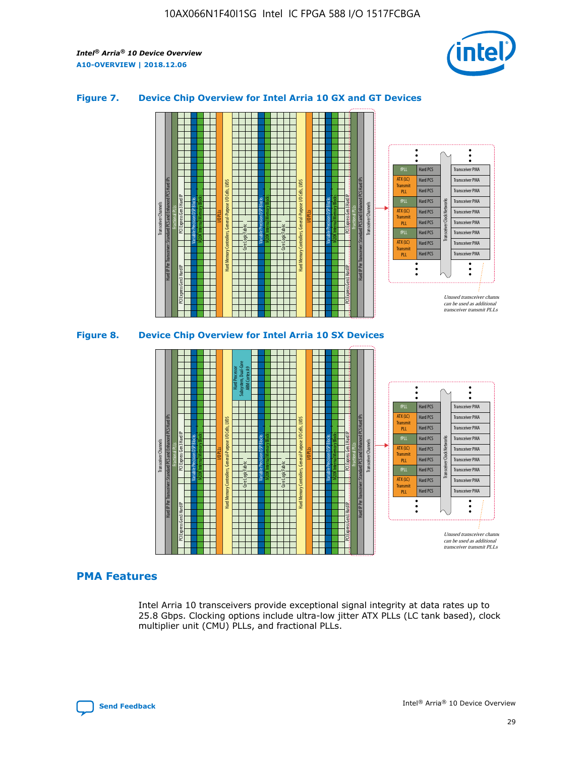

#### **Figure 7. Device Chip Overview for Intel Arria 10 GX and GT Devices**





#### **PMA Features**

Intel Arria 10 transceivers provide exceptional signal integrity at data rates up to 25.8 Gbps. Clocking options include ultra-low jitter ATX PLLs (LC tank based), clock multiplier unit (CMU) PLLs, and fractional PLLs.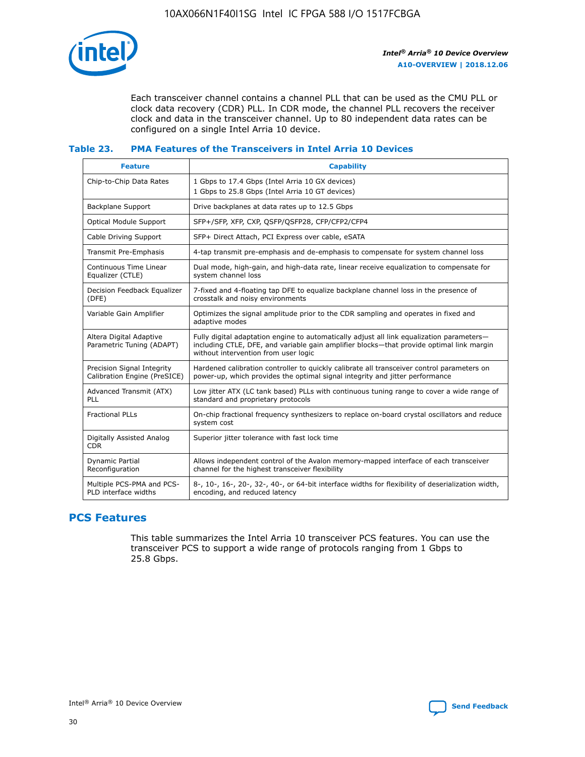

Each transceiver channel contains a channel PLL that can be used as the CMU PLL or clock data recovery (CDR) PLL. In CDR mode, the channel PLL recovers the receiver clock and data in the transceiver channel. Up to 80 independent data rates can be configured on a single Intel Arria 10 device.

#### **Table 23. PMA Features of the Transceivers in Intel Arria 10 Devices**

| <b>Feature</b>                                             | <b>Capability</b>                                                                                                                                                                                                             |
|------------------------------------------------------------|-------------------------------------------------------------------------------------------------------------------------------------------------------------------------------------------------------------------------------|
| Chip-to-Chip Data Rates                                    | 1 Gbps to 17.4 Gbps (Intel Arria 10 GX devices)<br>1 Gbps to 25.8 Gbps (Intel Arria 10 GT devices)                                                                                                                            |
| Backplane Support                                          | Drive backplanes at data rates up to 12.5 Gbps                                                                                                                                                                                |
| <b>Optical Module Support</b>                              | SFP+/SFP, XFP, CXP, QSFP/QSFP28, CFP/CFP2/CFP4                                                                                                                                                                                |
| Cable Driving Support                                      | SFP+ Direct Attach, PCI Express over cable, eSATA                                                                                                                                                                             |
| Transmit Pre-Emphasis                                      | 4-tap transmit pre-emphasis and de-emphasis to compensate for system channel loss                                                                                                                                             |
| Continuous Time Linear<br>Equalizer (CTLE)                 | Dual mode, high-gain, and high-data rate, linear receive equalization to compensate for<br>system channel loss                                                                                                                |
| Decision Feedback Equalizer<br>(DFE)                       | 7-fixed and 4-floating tap DFE to equalize backplane channel loss in the presence of<br>crosstalk and noisy environments                                                                                                      |
| Variable Gain Amplifier                                    | Optimizes the signal amplitude prior to the CDR sampling and operates in fixed and<br>adaptive modes                                                                                                                          |
| Altera Digital Adaptive<br>Parametric Tuning (ADAPT)       | Fully digital adaptation engine to automatically adjust all link equalization parameters-<br>including CTLE, DFE, and variable gain amplifier blocks—that provide optimal link margin<br>without intervention from user logic |
| Precision Signal Integrity<br>Calibration Engine (PreSICE) | Hardened calibration controller to quickly calibrate all transceiver control parameters on<br>power-up, which provides the optimal signal integrity and jitter performance                                                    |
| Advanced Transmit (ATX)<br><b>PLL</b>                      | Low jitter ATX (LC tank based) PLLs with continuous tuning range to cover a wide range of<br>standard and proprietary protocols                                                                                               |
| <b>Fractional PLLs</b>                                     | On-chip fractional frequency synthesizers to replace on-board crystal oscillators and reduce<br>system cost                                                                                                                   |
| Digitally Assisted Analog<br><b>CDR</b>                    | Superior jitter tolerance with fast lock time                                                                                                                                                                                 |
| Dynamic Partial<br>Reconfiguration                         | Allows independent control of the Avalon memory-mapped interface of each transceiver<br>channel for the highest transceiver flexibility                                                                                       |
| Multiple PCS-PMA and PCS-<br>PLD interface widths          | 8-, 10-, 16-, 20-, 32-, 40-, or 64-bit interface widths for flexibility of deserialization width,<br>encoding, and reduced latency                                                                                            |

## **PCS Features**

This table summarizes the Intel Arria 10 transceiver PCS features. You can use the transceiver PCS to support a wide range of protocols ranging from 1 Gbps to 25.8 Gbps.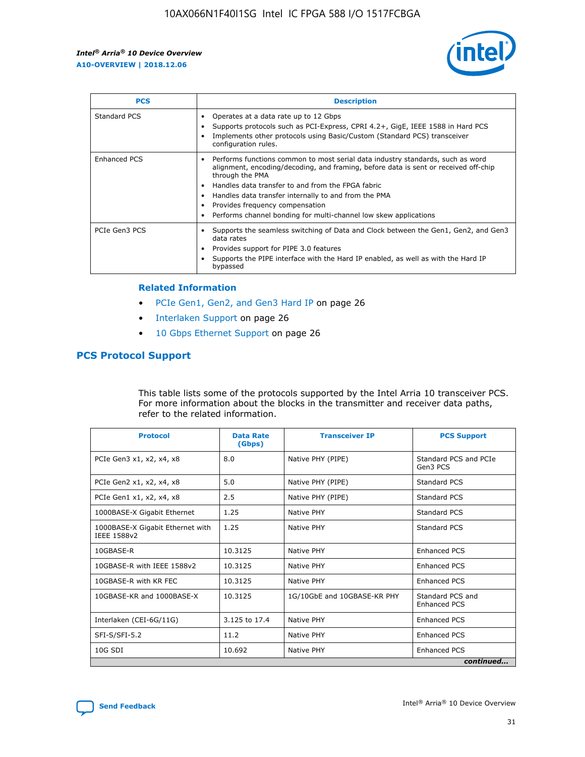

| <b>PCS</b>    | <b>Description</b>                                                                                                                                                                                                                                                                                                                                                                                             |
|---------------|----------------------------------------------------------------------------------------------------------------------------------------------------------------------------------------------------------------------------------------------------------------------------------------------------------------------------------------------------------------------------------------------------------------|
| Standard PCS  | Operates at a data rate up to 12 Gbps<br>Supports protocols such as PCI-Express, CPRI 4.2+, GigE, IEEE 1588 in Hard PCS<br>Implements other protocols using Basic/Custom (Standard PCS) transceiver<br>configuration rules.                                                                                                                                                                                    |
| Enhanced PCS  | Performs functions common to most serial data industry standards, such as word<br>alignment, encoding/decoding, and framing, before data is sent or received off-chip<br>through the PMA<br>• Handles data transfer to and from the FPGA fabric<br>Handles data transfer internally to and from the PMA<br>Provides frequency compensation<br>Performs channel bonding for multi-channel low skew applications |
| PCIe Gen3 PCS | Supports the seamless switching of Data and Clock between the Gen1, Gen2, and Gen3<br>data rates<br>Provides support for PIPE 3.0 features<br>Supports the PIPE interface with the Hard IP enabled, as well as with the Hard IP<br>bypassed                                                                                                                                                                    |

#### **Related Information**

- PCIe Gen1, Gen2, and Gen3 Hard IP on page 26
- Interlaken Support on page 26
- 10 Gbps Ethernet Support on page 26

#### **PCS Protocol Support**

This table lists some of the protocols supported by the Intel Arria 10 transceiver PCS. For more information about the blocks in the transmitter and receiver data paths, refer to the related information.

| <b>Protocol</b>                                 | <b>Data Rate</b><br>(Gbps) | <b>Transceiver IP</b>       | <b>PCS Support</b>                      |
|-------------------------------------------------|----------------------------|-----------------------------|-----------------------------------------|
| PCIe Gen3 x1, x2, x4, x8                        | 8.0                        | Native PHY (PIPE)           | Standard PCS and PCIe<br>Gen3 PCS       |
| PCIe Gen2 x1, x2, x4, x8                        | 5.0                        | Native PHY (PIPE)           | <b>Standard PCS</b>                     |
| PCIe Gen1 x1, x2, x4, x8                        | 2.5                        | Native PHY (PIPE)           | Standard PCS                            |
| 1000BASE-X Gigabit Ethernet                     | 1.25                       | Native PHY                  | <b>Standard PCS</b>                     |
| 1000BASE-X Gigabit Ethernet with<br>IEEE 1588v2 | 1.25                       | Native PHY                  | Standard PCS                            |
| 10GBASE-R                                       | 10.3125                    | Native PHY                  | <b>Enhanced PCS</b>                     |
| 10GBASE-R with IEEE 1588v2                      | 10.3125                    | Native PHY                  | <b>Enhanced PCS</b>                     |
| 10GBASE-R with KR FEC                           | 10.3125                    | Native PHY                  | <b>Enhanced PCS</b>                     |
| 10GBASE-KR and 1000BASE-X                       | 10.3125                    | 1G/10GbE and 10GBASE-KR PHY | Standard PCS and<br><b>Enhanced PCS</b> |
| Interlaken (CEI-6G/11G)                         | 3.125 to 17.4              | Native PHY                  | <b>Enhanced PCS</b>                     |
| SFI-S/SFI-5.2                                   | 11.2                       | Native PHY                  | <b>Enhanced PCS</b>                     |
| $10G$ SDI                                       | 10.692                     | Native PHY                  | <b>Enhanced PCS</b>                     |
|                                                 |                            |                             | continued                               |



**[Send Feedback](mailto:FPGAtechdocfeedback@intel.com?subject=Feedback%20on%20Intel%20Arria%2010%20Device%20Overview%20(A10-OVERVIEW%202018.12.06)&body=We%20appreciate%20your%20feedback.%20In%20your%20comments,%20also%20specify%20the%20page%20number%20or%20paragraph.%20Thank%20you.) Intel®** Arria<sup>®</sup> 10 Device Overview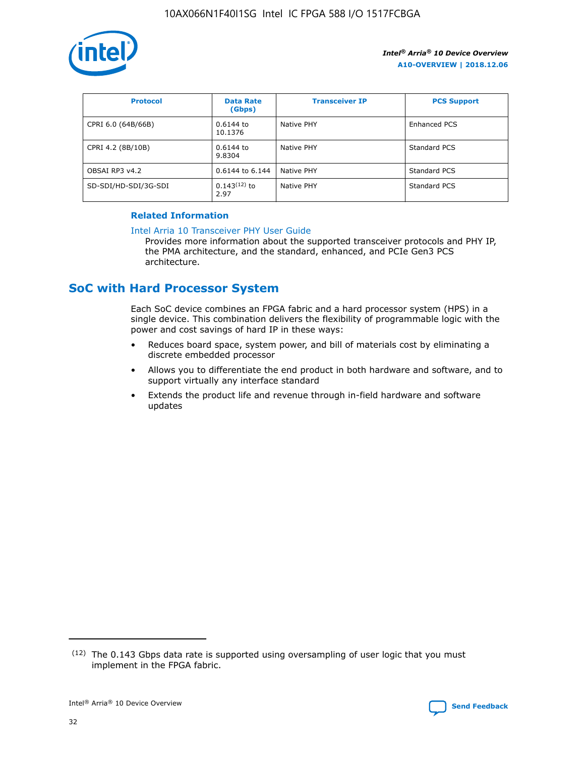

| <b>Protocol</b>      | <b>Data Rate</b><br>(Gbps) | <b>Transceiver IP</b> | <b>PCS Support</b> |
|----------------------|----------------------------|-----------------------|--------------------|
| CPRI 6.0 (64B/66B)   | 0.6144 to<br>10.1376       | Native PHY            | Enhanced PCS       |
| CPRI 4.2 (8B/10B)    | 0.6144 to<br>9.8304        | Native PHY            | Standard PCS       |
| OBSAI RP3 v4.2       | 0.6144 to 6.144            | Native PHY            | Standard PCS       |
| SD-SDI/HD-SDI/3G-SDI | $0.143(12)$ to<br>2.97     | Native PHY            | Standard PCS       |

#### **Related Information**

#### [Intel Arria 10 Transceiver PHY User Guide](https://www.intel.com/content/www/us/en/programmable/documentation/nik1398707230472.html#nik1398707091164)

Provides more information about the supported transceiver protocols and PHY IP, the PMA architecture, and the standard, enhanced, and PCIe Gen3 PCS architecture.

## **SoC with Hard Processor System**

Each SoC device combines an FPGA fabric and a hard processor system (HPS) in a single device. This combination delivers the flexibility of programmable logic with the power and cost savings of hard IP in these ways:

- Reduces board space, system power, and bill of materials cost by eliminating a discrete embedded processor
- Allows you to differentiate the end product in both hardware and software, and to support virtually any interface standard
- Extends the product life and revenue through in-field hardware and software updates

 $(12)$  The 0.143 Gbps data rate is supported using oversampling of user logic that you must implement in the FPGA fabric.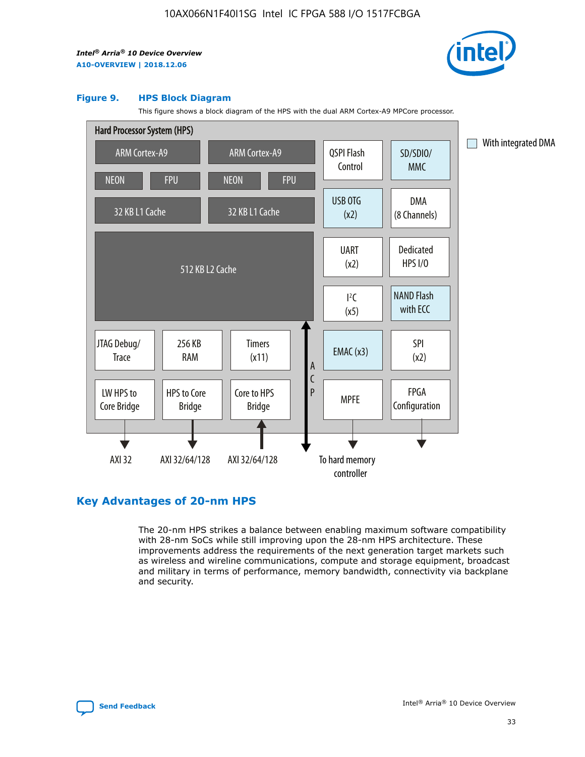

#### **Figure 9. HPS Block Diagram**

This figure shows a block diagram of the HPS with the dual ARM Cortex-A9 MPCore processor.



#### **Key Advantages of 20-nm HPS**

The 20-nm HPS strikes a balance between enabling maximum software compatibility with 28-nm SoCs while still improving upon the 28-nm HPS architecture. These improvements address the requirements of the next generation target markets such as wireless and wireline communications, compute and storage equipment, broadcast and military in terms of performance, memory bandwidth, connectivity via backplane and security.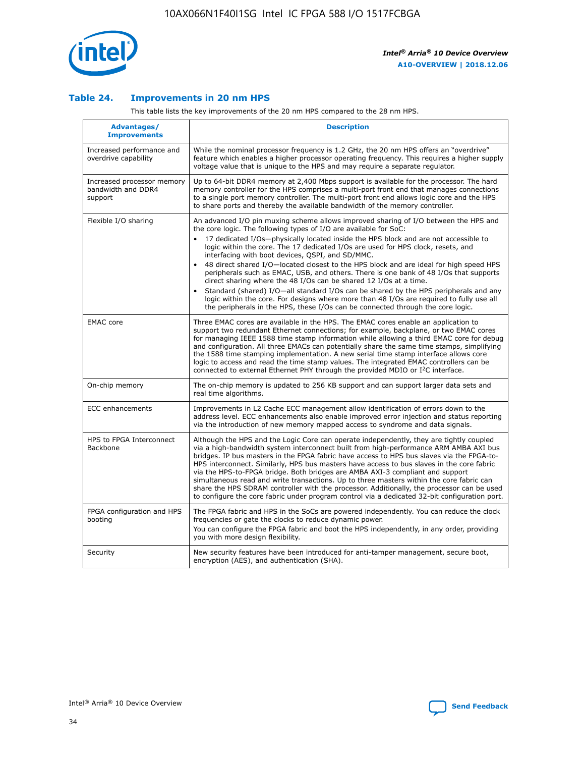

#### **Table 24. Improvements in 20 nm HPS**

This table lists the key improvements of the 20 nm HPS compared to the 28 nm HPS.

| Advantages/<br><b>Improvements</b>                          | <b>Description</b>                                                                                                                                                                                                                                                                                                                                                                                                                                                                                                                                                                                                                                                                                                                                                                                                                                                                                                      |
|-------------------------------------------------------------|-------------------------------------------------------------------------------------------------------------------------------------------------------------------------------------------------------------------------------------------------------------------------------------------------------------------------------------------------------------------------------------------------------------------------------------------------------------------------------------------------------------------------------------------------------------------------------------------------------------------------------------------------------------------------------------------------------------------------------------------------------------------------------------------------------------------------------------------------------------------------------------------------------------------------|
| Increased performance and<br>overdrive capability           | While the nominal processor frequency is 1.2 GHz, the 20 nm HPS offers an "overdrive"<br>feature which enables a higher processor operating frequency. This requires a higher supply<br>voltage value that is unique to the HPS and may require a separate regulator.                                                                                                                                                                                                                                                                                                                                                                                                                                                                                                                                                                                                                                                   |
| Increased processor memory<br>bandwidth and DDR4<br>support | Up to 64-bit DDR4 memory at 2,400 Mbps support is available for the processor. The hard<br>memory controller for the HPS comprises a multi-port front end that manages connections<br>to a single port memory controller. The multi-port front end allows logic core and the HPS<br>to share ports and thereby the available bandwidth of the memory controller.                                                                                                                                                                                                                                                                                                                                                                                                                                                                                                                                                        |
| Flexible I/O sharing                                        | An advanced I/O pin muxing scheme allows improved sharing of I/O between the HPS and<br>the core logic. The following types of I/O are available for SoC:<br>17 dedicated I/Os-physically located inside the HPS block and are not accessible to<br>logic within the core. The 17 dedicated I/Os are used for HPS clock, resets, and<br>interfacing with boot devices, QSPI, and SD/MMC.<br>48 direct shared I/O-located closest to the HPS block and are ideal for high speed HPS<br>peripherals such as EMAC, USB, and others. There is one bank of 48 I/Os that supports<br>direct sharing where the 48 I/Os can be shared 12 I/Os at a time.<br>Standard (shared) I/O—all standard I/Os can be shared by the HPS peripherals and any<br>logic within the core. For designs where more than 48 I/Os are required to fully use all<br>the peripherals in the HPS, these I/Os can be connected through the core logic. |
| <b>EMAC</b> core                                            | Three EMAC cores are available in the HPS. The EMAC cores enable an application to<br>support two redundant Ethernet connections; for example, backplane, or two EMAC cores<br>for managing IEEE 1588 time stamp information while allowing a third EMAC core for debug<br>and configuration. All three EMACs can potentially share the same time stamps, simplifying<br>the 1588 time stamping implementation. A new serial time stamp interface allows core<br>logic to access and read the time stamp values. The integrated EMAC controllers can be<br>connected to external Ethernet PHY through the provided MDIO or I <sup>2</sup> C interface.                                                                                                                                                                                                                                                                  |
| On-chip memory                                              | The on-chip memory is updated to 256 KB support and can support larger data sets and<br>real time algorithms.                                                                                                                                                                                                                                                                                                                                                                                                                                                                                                                                                                                                                                                                                                                                                                                                           |
| <b>ECC</b> enhancements                                     | Improvements in L2 Cache ECC management allow identification of errors down to the<br>address level. ECC enhancements also enable improved error injection and status reporting<br>via the introduction of new memory mapped access to syndrome and data signals.                                                                                                                                                                                                                                                                                                                                                                                                                                                                                                                                                                                                                                                       |
| HPS to FPGA Interconnect<br><b>Backbone</b>                 | Although the HPS and the Logic Core can operate independently, they are tightly coupled<br>via a high-bandwidth system interconnect built from high-performance ARM AMBA AXI bus<br>bridges. IP bus masters in the FPGA fabric have access to HPS bus slaves via the FPGA-to-<br>HPS interconnect. Similarly, HPS bus masters have access to bus slaves in the core fabric<br>via the HPS-to-FPGA bridge. Both bridges are AMBA AXI-3 compliant and support<br>simultaneous read and write transactions. Up to three masters within the core fabric can<br>share the HPS SDRAM controller with the processor. Additionally, the processor can be used<br>to configure the core fabric under program control via a dedicated 32-bit configuration port.                                                                                                                                                                  |
| FPGA configuration and HPS<br>booting                       | The FPGA fabric and HPS in the SoCs are powered independently. You can reduce the clock<br>frequencies or gate the clocks to reduce dynamic power.<br>You can configure the FPGA fabric and boot the HPS independently, in any order, providing<br>you with more design flexibility.                                                                                                                                                                                                                                                                                                                                                                                                                                                                                                                                                                                                                                    |
| Security                                                    | New security features have been introduced for anti-tamper management, secure boot,<br>encryption (AES), and authentication (SHA).                                                                                                                                                                                                                                                                                                                                                                                                                                                                                                                                                                                                                                                                                                                                                                                      |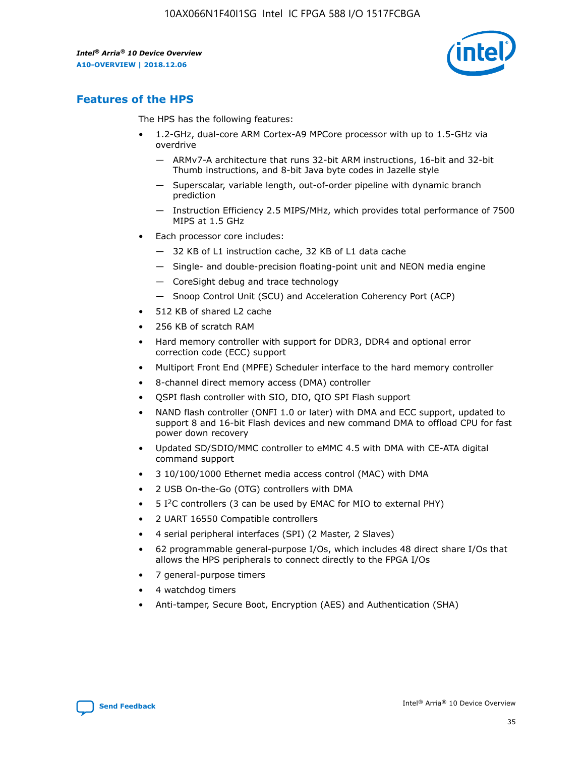

## **Features of the HPS**

The HPS has the following features:

- 1.2-GHz, dual-core ARM Cortex-A9 MPCore processor with up to 1.5-GHz via overdrive
	- ARMv7-A architecture that runs 32-bit ARM instructions, 16-bit and 32-bit Thumb instructions, and 8-bit Java byte codes in Jazelle style
	- Superscalar, variable length, out-of-order pipeline with dynamic branch prediction
	- Instruction Efficiency 2.5 MIPS/MHz, which provides total performance of 7500 MIPS at 1.5 GHz
- Each processor core includes:
	- 32 KB of L1 instruction cache, 32 KB of L1 data cache
	- Single- and double-precision floating-point unit and NEON media engine
	- CoreSight debug and trace technology
	- Snoop Control Unit (SCU) and Acceleration Coherency Port (ACP)
- 512 KB of shared L2 cache
- 256 KB of scratch RAM
- Hard memory controller with support for DDR3, DDR4 and optional error correction code (ECC) support
- Multiport Front End (MPFE) Scheduler interface to the hard memory controller
- 8-channel direct memory access (DMA) controller
- QSPI flash controller with SIO, DIO, QIO SPI Flash support
- NAND flash controller (ONFI 1.0 or later) with DMA and ECC support, updated to support 8 and 16-bit Flash devices and new command DMA to offload CPU for fast power down recovery
- Updated SD/SDIO/MMC controller to eMMC 4.5 with DMA with CE-ATA digital command support
- 3 10/100/1000 Ethernet media access control (MAC) with DMA
- 2 USB On-the-Go (OTG) controllers with DMA
- $\bullet$  5 I<sup>2</sup>C controllers (3 can be used by EMAC for MIO to external PHY)
- 2 UART 16550 Compatible controllers
- 4 serial peripheral interfaces (SPI) (2 Master, 2 Slaves)
- 62 programmable general-purpose I/Os, which includes 48 direct share I/Os that allows the HPS peripherals to connect directly to the FPGA I/Os
- 7 general-purpose timers
- 4 watchdog timers
- Anti-tamper, Secure Boot, Encryption (AES) and Authentication (SHA)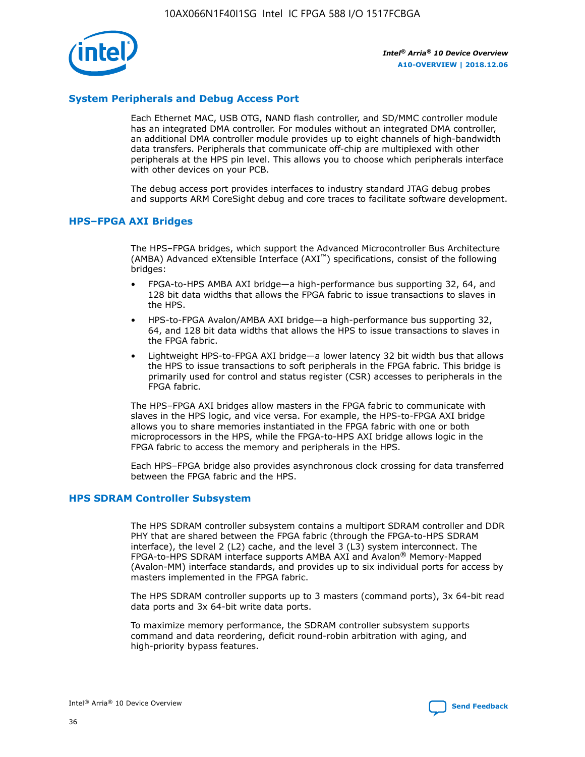

#### **System Peripherals and Debug Access Port**

Each Ethernet MAC, USB OTG, NAND flash controller, and SD/MMC controller module has an integrated DMA controller. For modules without an integrated DMA controller, an additional DMA controller module provides up to eight channels of high-bandwidth data transfers. Peripherals that communicate off-chip are multiplexed with other peripherals at the HPS pin level. This allows you to choose which peripherals interface with other devices on your PCB.

The debug access port provides interfaces to industry standard JTAG debug probes and supports ARM CoreSight debug and core traces to facilitate software development.

#### **HPS–FPGA AXI Bridges**

The HPS–FPGA bridges, which support the Advanced Microcontroller Bus Architecture (AMBA) Advanced eXtensible Interface (AXI™) specifications, consist of the following bridges:

- FPGA-to-HPS AMBA AXI bridge—a high-performance bus supporting 32, 64, and 128 bit data widths that allows the FPGA fabric to issue transactions to slaves in the HPS.
- HPS-to-FPGA Avalon/AMBA AXI bridge—a high-performance bus supporting 32, 64, and 128 bit data widths that allows the HPS to issue transactions to slaves in the FPGA fabric.
- Lightweight HPS-to-FPGA AXI bridge—a lower latency 32 bit width bus that allows the HPS to issue transactions to soft peripherals in the FPGA fabric. This bridge is primarily used for control and status register (CSR) accesses to peripherals in the FPGA fabric.

The HPS–FPGA AXI bridges allow masters in the FPGA fabric to communicate with slaves in the HPS logic, and vice versa. For example, the HPS-to-FPGA AXI bridge allows you to share memories instantiated in the FPGA fabric with one or both microprocessors in the HPS, while the FPGA-to-HPS AXI bridge allows logic in the FPGA fabric to access the memory and peripherals in the HPS.

Each HPS–FPGA bridge also provides asynchronous clock crossing for data transferred between the FPGA fabric and the HPS.

#### **HPS SDRAM Controller Subsystem**

The HPS SDRAM controller subsystem contains a multiport SDRAM controller and DDR PHY that are shared between the FPGA fabric (through the FPGA-to-HPS SDRAM interface), the level 2 (L2) cache, and the level 3 (L3) system interconnect. The FPGA-to-HPS SDRAM interface supports AMBA AXI and Avalon® Memory-Mapped (Avalon-MM) interface standards, and provides up to six individual ports for access by masters implemented in the FPGA fabric.

The HPS SDRAM controller supports up to 3 masters (command ports), 3x 64-bit read data ports and 3x 64-bit write data ports.

To maximize memory performance, the SDRAM controller subsystem supports command and data reordering, deficit round-robin arbitration with aging, and high-priority bypass features.

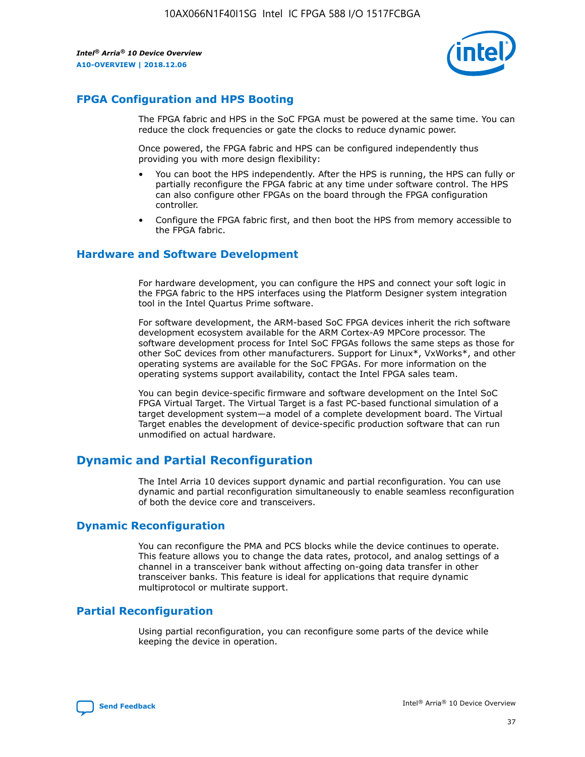

### **FPGA Configuration and HPS Booting**

The FPGA fabric and HPS in the SoC FPGA must be powered at the same time. You can reduce the clock frequencies or gate the clocks to reduce dynamic power.

Once powered, the FPGA fabric and HPS can be configured independently thus providing you with more design flexibility:

- You can boot the HPS independently. After the HPS is running, the HPS can fully or partially reconfigure the FPGA fabric at any time under software control. The HPS can also configure other FPGAs on the board through the FPGA configuration controller.
- Configure the FPGA fabric first, and then boot the HPS from memory accessible to the FPGA fabric.

#### **Hardware and Software Development**

For hardware development, you can configure the HPS and connect your soft logic in the FPGA fabric to the HPS interfaces using the Platform Designer system integration tool in the Intel Quartus Prime software.

For software development, the ARM-based SoC FPGA devices inherit the rich software development ecosystem available for the ARM Cortex-A9 MPCore processor. The software development process for Intel SoC FPGAs follows the same steps as those for other SoC devices from other manufacturers. Support for Linux\*, VxWorks\*, and other operating systems are available for the SoC FPGAs. For more information on the operating systems support availability, contact the Intel FPGA sales team.

You can begin device-specific firmware and software development on the Intel SoC FPGA Virtual Target. The Virtual Target is a fast PC-based functional simulation of a target development system—a model of a complete development board. The Virtual Target enables the development of device-specific production software that can run unmodified on actual hardware.

## **Dynamic and Partial Reconfiguration**

The Intel Arria 10 devices support dynamic and partial reconfiguration. You can use dynamic and partial reconfiguration simultaneously to enable seamless reconfiguration of both the device core and transceivers.

#### **Dynamic Reconfiguration**

You can reconfigure the PMA and PCS blocks while the device continues to operate. This feature allows you to change the data rates, protocol, and analog settings of a channel in a transceiver bank without affecting on-going data transfer in other transceiver banks. This feature is ideal for applications that require dynamic multiprotocol or multirate support.

## **Partial Reconfiguration**

Using partial reconfiguration, you can reconfigure some parts of the device while keeping the device in operation.

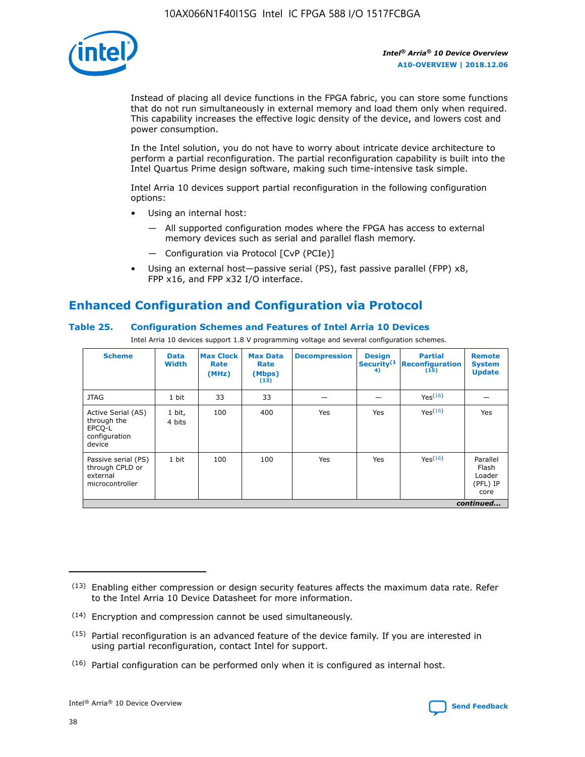

Instead of placing all device functions in the FPGA fabric, you can store some functions that do not run simultaneously in external memory and load them only when required. This capability increases the effective logic density of the device, and lowers cost and power consumption.

In the Intel solution, you do not have to worry about intricate device architecture to perform a partial reconfiguration. The partial reconfiguration capability is built into the Intel Quartus Prime design software, making such time-intensive task simple.

Intel Arria 10 devices support partial reconfiguration in the following configuration options:

- Using an internal host:
	- All supported configuration modes where the FPGA has access to external memory devices such as serial and parallel flash memory.
	- Configuration via Protocol [CvP (PCIe)]
- Using an external host—passive serial (PS), fast passive parallel (FPP) x8, FPP x16, and FPP x32 I/O interface.

## **Enhanced Configuration and Configuration via Protocol**

#### **Table 25. Configuration Schemes and Features of Intel Arria 10 Devices**

Intel Arria 10 devices support 1.8 V programming voltage and several configuration schemes.

| <b>Scheme</b>                                                          | <b>Data</b><br><b>Width</b> | <b>Max Clock</b><br>Rate<br>(MHz) | <b>Max Data</b><br>Rate<br>(Mbps)<br>(13) | <b>Decompression</b> | <b>Design</b><br>Security <sup>(1</sup><br>4) | <b>Partial</b><br><b>Reconfiguration</b><br>(15) | <b>Remote</b><br><b>System</b><br><b>Update</b> |
|------------------------------------------------------------------------|-----------------------------|-----------------------------------|-------------------------------------------|----------------------|-----------------------------------------------|--------------------------------------------------|-------------------------------------------------|
| <b>JTAG</b>                                                            | 1 bit                       | 33                                | 33                                        |                      |                                               | Yes(16)                                          |                                                 |
| Active Serial (AS)<br>through the<br>EPCO-L<br>configuration<br>device | 1 bit,<br>4 bits            | 100                               | 400                                       | Yes                  | Yes                                           | $Y_{PS}(16)$                                     | Yes                                             |
| Passive serial (PS)<br>through CPLD or<br>external<br>microcontroller  | 1 bit                       | 100                               | 100                                       | Yes                  | Yes                                           | Yes(16)                                          | Parallel<br>Flash<br>Loader<br>(PFL) IP<br>core |
|                                                                        |                             |                                   |                                           |                      |                                               |                                                  | continued                                       |

<sup>(13)</sup> Enabling either compression or design security features affects the maximum data rate. Refer to the Intel Arria 10 Device Datasheet for more information.

<sup>(14)</sup> Encryption and compression cannot be used simultaneously.

 $(15)$  Partial reconfiguration is an advanced feature of the device family. If you are interested in using partial reconfiguration, contact Intel for support.

 $(16)$  Partial configuration can be performed only when it is configured as internal host.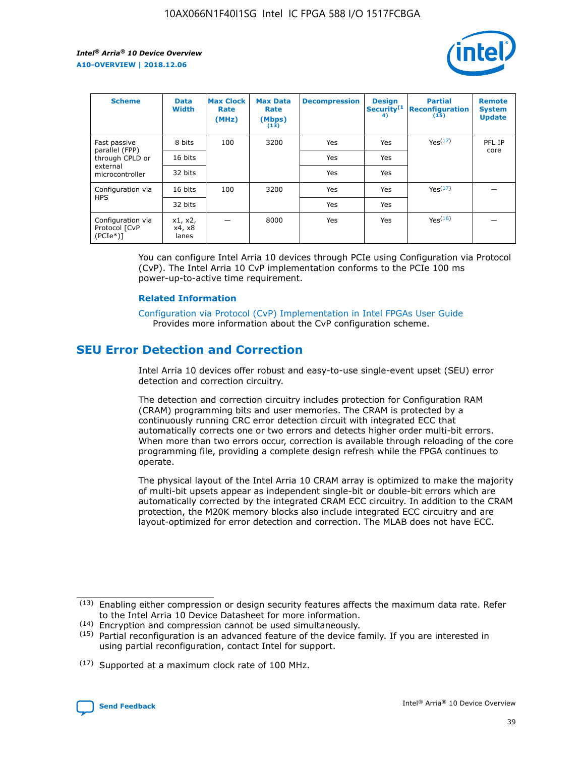

| <b>Scheme</b>                                    | <b>Data</b><br><b>Width</b> | <b>Max Clock</b><br>Rate<br>(MHz) | <b>Max Data</b><br>Rate<br>(Mbps)<br>(13) | <b>Decompression</b> | <b>Design</b><br>Security <sup>(1</sup><br>4) | <b>Partial</b><br><b>Reconfiguration</b><br>(15) | <b>Remote</b><br><b>System</b><br><b>Update</b> |
|--------------------------------------------------|-----------------------------|-----------------------------------|-------------------------------------------|----------------------|-----------------------------------------------|--------------------------------------------------|-------------------------------------------------|
| Fast passive                                     | 8 bits                      | 100                               | 3200                                      | Yes                  | Yes                                           | Yes(17)                                          | PFL IP                                          |
| parallel (FPP)<br>through CPLD or                | 16 bits                     |                                   |                                           | Yes                  | Yes                                           |                                                  | core                                            |
| external<br>microcontroller                      | 32 bits                     |                                   |                                           | Yes                  | Yes                                           |                                                  |                                                 |
| Configuration via                                | 16 bits                     | 100                               | 3200                                      | Yes                  | Yes                                           | Yes <sup>(17)</sup>                              |                                                 |
| <b>HPS</b>                                       | 32 bits                     |                                   |                                           | Yes                  | Yes                                           |                                                  |                                                 |
| Configuration via<br>Protocol [CvP<br>$(PCIe^*)$ | x1, x2,<br>x4, x8<br>lanes  |                                   | 8000                                      | Yes                  | Yes                                           | Yes(16)                                          |                                                 |

You can configure Intel Arria 10 devices through PCIe using Configuration via Protocol (CvP). The Intel Arria 10 CvP implementation conforms to the PCIe 100 ms power-up-to-active time requirement.

#### **Related Information**

[Configuration via Protocol \(CvP\) Implementation in Intel FPGAs User Guide](https://www.intel.com/content/www/us/en/programmable/documentation/dsu1441819344145.html#dsu1442269728522) Provides more information about the CvP configuration scheme.

## **SEU Error Detection and Correction**

Intel Arria 10 devices offer robust and easy-to-use single-event upset (SEU) error detection and correction circuitry.

The detection and correction circuitry includes protection for Configuration RAM (CRAM) programming bits and user memories. The CRAM is protected by a continuously running CRC error detection circuit with integrated ECC that automatically corrects one or two errors and detects higher order multi-bit errors. When more than two errors occur, correction is available through reloading of the core programming file, providing a complete design refresh while the FPGA continues to operate.

The physical layout of the Intel Arria 10 CRAM array is optimized to make the majority of multi-bit upsets appear as independent single-bit or double-bit errors which are automatically corrected by the integrated CRAM ECC circuitry. In addition to the CRAM protection, the M20K memory blocks also include integrated ECC circuitry and are layout-optimized for error detection and correction. The MLAB does not have ECC.

(14) Encryption and compression cannot be used simultaneously.

<sup>(17)</sup> Supported at a maximum clock rate of 100 MHz.



 $(13)$  Enabling either compression or design security features affects the maximum data rate. Refer to the Intel Arria 10 Device Datasheet for more information.

 $(15)$  Partial reconfiguration is an advanced feature of the device family. If you are interested in using partial reconfiguration, contact Intel for support.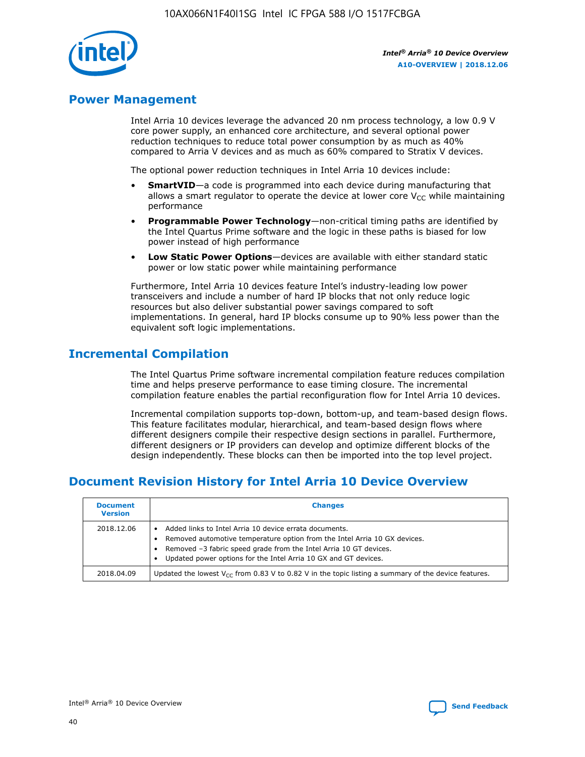

## **Power Management**

Intel Arria 10 devices leverage the advanced 20 nm process technology, a low 0.9 V core power supply, an enhanced core architecture, and several optional power reduction techniques to reduce total power consumption by as much as 40% compared to Arria V devices and as much as 60% compared to Stratix V devices.

The optional power reduction techniques in Intel Arria 10 devices include:

- **SmartVID**—a code is programmed into each device during manufacturing that allows a smart regulator to operate the device at lower core  $V_{CC}$  while maintaining performance
- **Programmable Power Technology**—non-critical timing paths are identified by the Intel Quartus Prime software and the logic in these paths is biased for low power instead of high performance
- **Low Static Power Options**—devices are available with either standard static power or low static power while maintaining performance

Furthermore, Intel Arria 10 devices feature Intel's industry-leading low power transceivers and include a number of hard IP blocks that not only reduce logic resources but also deliver substantial power savings compared to soft implementations. In general, hard IP blocks consume up to 90% less power than the equivalent soft logic implementations.

## **Incremental Compilation**

The Intel Quartus Prime software incremental compilation feature reduces compilation time and helps preserve performance to ease timing closure. The incremental compilation feature enables the partial reconfiguration flow for Intel Arria 10 devices.

Incremental compilation supports top-down, bottom-up, and team-based design flows. This feature facilitates modular, hierarchical, and team-based design flows where different designers compile their respective design sections in parallel. Furthermore, different designers or IP providers can develop and optimize different blocks of the design independently. These blocks can then be imported into the top level project.

## **Document Revision History for Intel Arria 10 Device Overview**

| <b>Document</b><br><b>Version</b> | <b>Changes</b>                                                                                                                                                                                                                                                              |
|-----------------------------------|-----------------------------------------------------------------------------------------------------------------------------------------------------------------------------------------------------------------------------------------------------------------------------|
| 2018.12.06                        | Added links to Intel Arria 10 device errata documents.<br>Removed automotive temperature option from the Intel Arria 10 GX devices.<br>Removed -3 fabric speed grade from the Intel Arria 10 GT devices.<br>Updated power options for the Intel Arria 10 GX and GT devices. |
| 2018.04.09                        | Updated the lowest $V_{CC}$ from 0.83 V to 0.82 V in the topic listing a summary of the device features.                                                                                                                                                                    |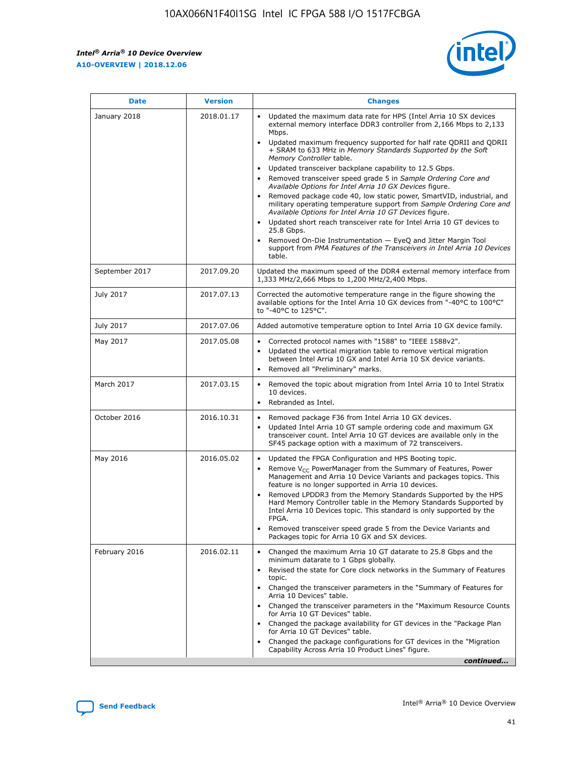

| <b>Date</b>    | <b>Version</b> | <b>Changes</b>                                                                                                                                                                                                                                                                                                                                                                                                                                                                                                                                                                                                                                                                                                                                                                                                                                                                                                                                               |
|----------------|----------------|--------------------------------------------------------------------------------------------------------------------------------------------------------------------------------------------------------------------------------------------------------------------------------------------------------------------------------------------------------------------------------------------------------------------------------------------------------------------------------------------------------------------------------------------------------------------------------------------------------------------------------------------------------------------------------------------------------------------------------------------------------------------------------------------------------------------------------------------------------------------------------------------------------------------------------------------------------------|
| January 2018   | 2018.01.17     | Updated the maximum data rate for HPS (Intel Arria 10 SX devices<br>external memory interface DDR3 controller from 2,166 Mbps to 2,133<br>Mbps.<br>Updated maximum frequency supported for half rate QDRII and QDRII<br>+ SRAM to 633 MHz in Memory Standards Supported by the Soft<br>Memory Controller table.<br>Updated transceiver backplane capability to 12.5 Gbps.<br>Removed transceiver speed grade 5 in Sample Ordering Core and<br>Available Options for Intel Arria 10 GX Devices figure.<br>Removed package code 40, low static power, SmartVID, industrial, and<br>military operating temperature support from Sample Ordering Core and<br>Available Options for Intel Arria 10 GT Devices figure.<br>Updated short reach transceiver rate for Intel Arria 10 GT devices to<br>25.8 Gbps.<br>Removed On-Die Instrumentation - EyeQ and Jitter Margin Tool<br>support from PMA Features of the Transceivers in Intel Arria 10 Devices<br>table. |
| September 2017 | 2017.09.20     | Updated the maximum speed of the DDR4 external memory interface from<br>1,333 MHz/2,666 Mbps to 1,200 MHz/2,400 Mbps.                                                                                                                                                                                                                                                                                                                                                                                                                                                                                                                                                                                                                                                                                                                                                                                                                                        |
| July 2017      | 2017.07.13     | Corrected the automotive temperature range in the figure showing the<br>available options for the Intel Arria 10 GX devices from "-40°C to 100°C"<br>to "-40°C to 125°C".                                                                                                                                                                                                                                                                                                                                                                                                                                                                                                                                                                                                                                                                                                                                                                                    |
| July 2017      | 2017.07.06     | Added automotive temperature option to Intel Arria 10 GX device family.                                                                                                                                                                                                                                                                                                                                                                                                                                                                                                                                                                                                                                                                                                                                                                                                                                                                                      |
| May 2017       | 2017.05.08     | Corrected protocol names with "1588" to "IEEE 1588v2".<br>$\bullet$<br>Updated the vertical migration table to remove vertical migration<br>$\bullet$<br>between Intel Arria 10 GX and Intel Arria 10 SX device variants.<br>Removed all "Preliminary" marks.<br>$\bullet$                                                                                                                                                                                                                                                                                                                                                                                                                                                                                                                                                                                                                                                                                   |
| March 2017     | 2017.03.15     | Removed the topic about migration from Intel Arria 10 to Intel Stratix<br>$\bullet$<br>10 devices.<br>Rebranded as Intel.<br>$\bullet$                                                                                                                                                                                                                                                                                                                                                                                                                                                                                                                                                                                                                                                                                                                                                                                                                       |
| October 2016   | 2016.10.31     | Removed package F36 from Intel Arria 10 GX devices.<br>Updated Intel Arria 10 GT sample ordering code and maximum GX<br>$\bullet$<br>transceiver count. Intel Arria 10 GT devices are available only in the<br>SF45 package option with a maximum of 72 transceivers.                                                                                                                                                                                                                                                                                                                                                                                                                                                                                                                                                                                                                                                                                        |
| May 2016       | 2016.05.02     | Updated the FPGA Configuration and HPS Booting topic.<br>$\bullet$<br>Remove V <sub>CC</sub> PowerManager from the Summary of Features, Power<br>Management and Arria 10 Device Variants and packages topics. This<br>feature is no longer supported in Arria 10 devices.<br>Removed LPDDR3 from the Memory Standards Supported by the HPS<br>Hard Memory Controller table in the Memory Standards Supported by<br>Intel Arria 10 Devices topic. This standard is only supported by the<br><b>FPGA</b><br>Removed transceiver speed grade 5 from the Device Variants and<br>Packages topic for Arria 10 GX and SX devices.                                                                                                                                                                                                                                                                                                                                   |
| February 2016  | 2016.02.11     | Changed the maximum Arria 10 GT datarate to 25.8 Gbps and the<br>$\bullet$<br>minimum datarate to 1 Gbps globally.<br>Revised the state for Core clock networks in the Summary of Features<br>$\bullet$<br>topic.<br>Changed the transceiver parameters in the "Summary of Features for<br>$\bullet$<br>Arria 10 Devices" table.<br>Changed the transceiver parameters in the "Maximum Resource Counts<br>for Arria 10 GT Devices" table.<br>Changed the package availability for GT devices in the "Package Plan<br>for Arria 10 GT Devices" table.<br>Changed the package configurations for GT devices in the "Migration"<br>Capability Across Arria 10 Product Lines" figure.<br>continued                                                                                                                                                                                                                                                               |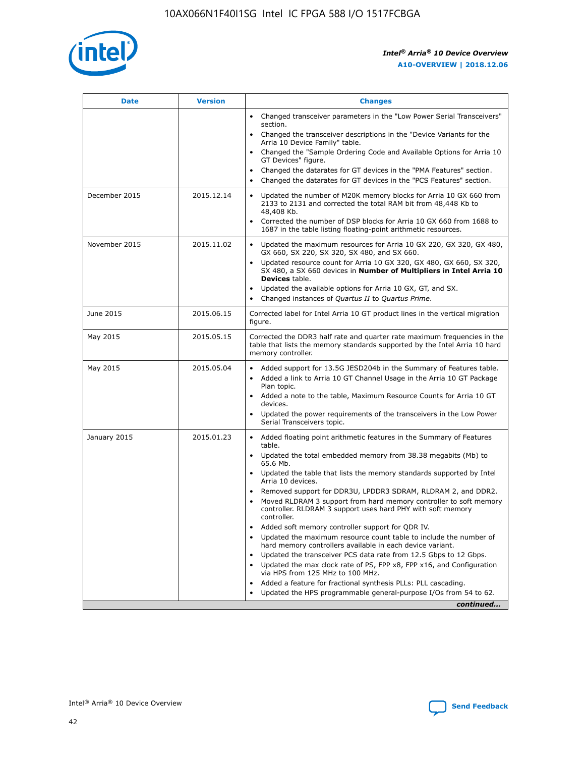

| <b>Date</b>   | <b>Version</b> | <b>Changes</b>                                                                                                                                                               |
|---------------|----------------|------------------------------------------------------------------------------------------------------------------------------------------------------------------------------|
|               |                | • Changed transceiver parameters in the "Low Power Serial Transceivers"<br>section.                                                                                          |
|               |                | • Changed the transceiver descriptions in the "Device Variants for the<br>Arria 10 Device Family" table.                                                                     |
|               |                | Changed the "Sample Ordering Code and Available Options for Arria 10<br>$\bullet$<br>GT Devices" figure.                                                                     |
|               |                | Changed the datarates for GT devices in the "PMA Features" section.                                                                                                          |
|               |                | Changed the datarates for GT devices in the "PCS Features" section.<br>$\bullet$                                                                                             |
| December 2015 | 2015.12.14     | Updated the number of M20K memory blocks for Arria 10 GX 660 from<br>2133 to 2131 and corrected the total RAM bit from 48,448 Kb to<br>48,408 Kb.                            |
|               |                | Corrected the number of DSP blocks for Arria 10 GX 660 from 1688 to<br>1687 in the table listing floating-point arithmetic resources.                                        |
| November 2015 | 2015.11.02     | Updated the maximum resources for Arria 10 GX 220, GX 320, GX 480,<br>$\bullet$<br>GX 660, SX 220, SX 320, SX 480, and SX 660.                                               |
|               |                | • Updated resource count for Arria 10 GX 320, GX 480, GX 660, SX 320,<br>SX 480, a SX 660 devices in Number of Multipliers in Intel Arria 10<br><b>Devices</b> table.        |
|               |                | Updated the available options for Arria 10 GX, GT, and SX.                                                                                                                   |
|               |                | Changed instances of Quartus II to Quartus Prime.<br>$\bullet$                                                                                                               |
| June 2015     | 2015.06.15     | Corrected label for Intel Arria 10 GT product lines in the vertical migration<br>figure.                                                                                     |
| May 2015      | 2015.05.15     | Corrected the DDR3 half rate and quarter rate maximum frequencies in the<br>table that lists the memory standards supported by the Intel Arria 10 hard<br>memory controller. |
| May 2015      | 2015.05.04     | • Added support for 13.5G JESD204b in the Summary of Features table.                                                                                                         |
|               |                | • Added a link to Arria 10 GT Channel Usage in the Arria 10 GT Package<br>Plan topic.                                                                                        |
|               |                | • Added a note to the table, Maximum Resource Counts for Arria 10 GT<br>devices.                                                                                             |
|               |                | • Updated the power requirements of the transceivers in the Low Power<br>Serial Transceivers topic.                                                                          |
| January 2015  | 2015.01.23     | • Added floating point arithmetic features in the Summary of Features<br>table.                                                                                              |
|               |                | • Updated the total embedded memory from 38.38 megabits (Mb) to<br>65.6 Mb.                                                                                                  |
|               |                | • Updated the table that lists the memory standards supported by Intel<br>Arria 10 devices.                                                                                  |
|               |                | Removed support for DDR3U, LPDDR3 SDRAM, RLDRAM 2, and DDR2.                                                                                                                 |
|               |                | Moved RLDRAM 3 support from hard memory controller to soft memory<br>controller. RLDRAM 3 support uses hard PHY with soft memory<br>controller.                              |
|               |                | Added soft memory controller support for QDR IV.<br>٠                                                                                                                        |
|               |                | Updated the maximum resource count table to include the number of<br>hard memory controllers available in each device variant.                                               |
|               |                | Updated the transceiver PCS data rate from 12.5 Gbps to 12 Gbps.<br>$\bullet$                                                                                                |
|               |                | Updated the max clock rate of PS, FPP x8, FPP x16, and Configuration<br>via HPS from 125 MHz to 100 MHz.                                                                     |
|               |                | Added a feature for fractional synthesis PLLs: PLL cascading.                                                                                                                |
|               |                | Updated the HPS programmable general-purpose I/Os from 54 to 62.<br>$\bullet$                                                                                                |
|               |                | continued                                                                                                                                                                    |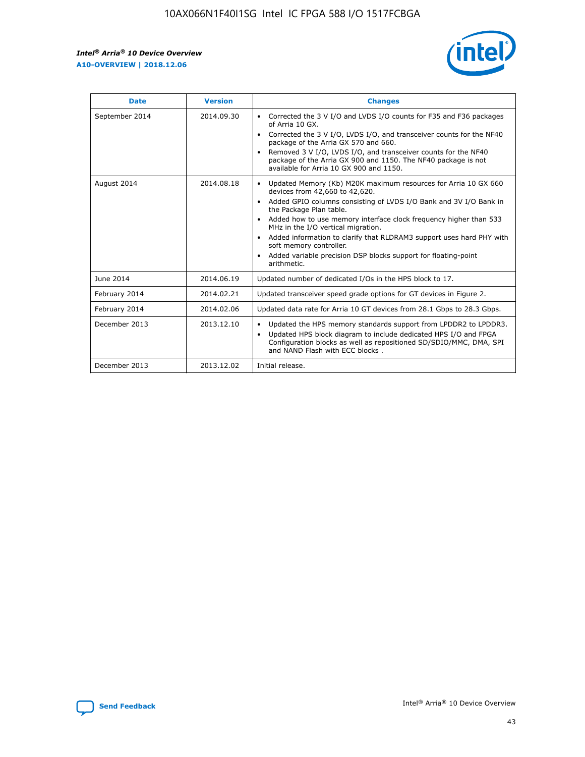r



| <b>Date</b>    | <b>Version</b> | <b>Changes</b>                                                                                                                                                                                                                                                                                                                                                                                                                                                                                                                                      |
|----------------|----------------|-----------------------------------------------------------------------------------------------------------------------------------------------------------------------------------------------------------------------------------------------------------------------------------------------------------------------------------------------------------------------------------------------------------------------------------------------------------------------------------------------------------------------------------------------------|
| September 2014 | 2014.09.30     | Corrected the 3 V I/O and LVDS I/O counts for F35 and F36 packages<br>$\bullet$<br>of Arria 10 GX.<br>Corrected the 3 V I/O, LVDS I/O, and transceiver counts for the NF40<br>$\bullet$<br>package of the Arria GX 570 and 660.<br>Removed 3 V I/O, LVDS I/O, and transceiver counts for the NF40<br>$\bullet$<br>package of the Arria GX 900 and 1150. The NF40 package is not<br>available for Arria 10 GX 900 and 1150.                                                                                                                          |
| August 2014    | 2014.08.18     | Updated Memory (Kb) M20K maximum resources for Arria 10 GX 660<br>devices from 42,660 to 42,620.<br>Added GPIO columns consisting of LVDS I/O Bank and 3V I/O Bank in<br>$\bullet$<br>the Package Plan table.<br>Added how to use memory interface clock frequency higher than 533<br>$\bullet$<br>MHz in the I/O vertical migration.<br>Added information to clarify that RLDRAM3 support uses hard PHY with<br>$\bullet$<br>soft memory controller.<br>Added variable precision DSP blocks support for floating-point<br>$\bullet$<br>arithmetic. |
| June 2014      | 2014.06.19     | Updated number of dedicated I/Os in the HPS block to 17.                                                                                                                                                                                                                                                                                                                                                                                                                                                                                            |
| February 2014  | 2014.02.21     | Updated transceiver speed grade options for GT devices in Figure 2.                                                                                                                                                                                                                                                                                                                                                                                                                                                                                 |
| February 2014  | 2014.02.06     | Updated data rate for Arria 10 GT devices from 28.1 Gbps to 28.3 Gbps.                                                                                                                                                                                                                                                                                                                                                                                                                                                                              |
| December 2013  | 2013.12.10     | Updated the HPS memory standards support from LPDDR2 to LPDDR3.<br>Updated HPS block diagram to include dedicated HPS I/O and FPGA<br>$\bullet$<br>Configuration blocks as well as repositioned SD/SDIO/MMC, DMA, SPI<br>and NAND Flash with ECC blocks.                                                                                                                                                                                                                                                                                            |
| December 2013  | 2013.12.02     | Initial release.                                                                                                                                                                                                                                                                                                                                                                                                                                                                                                                                    |